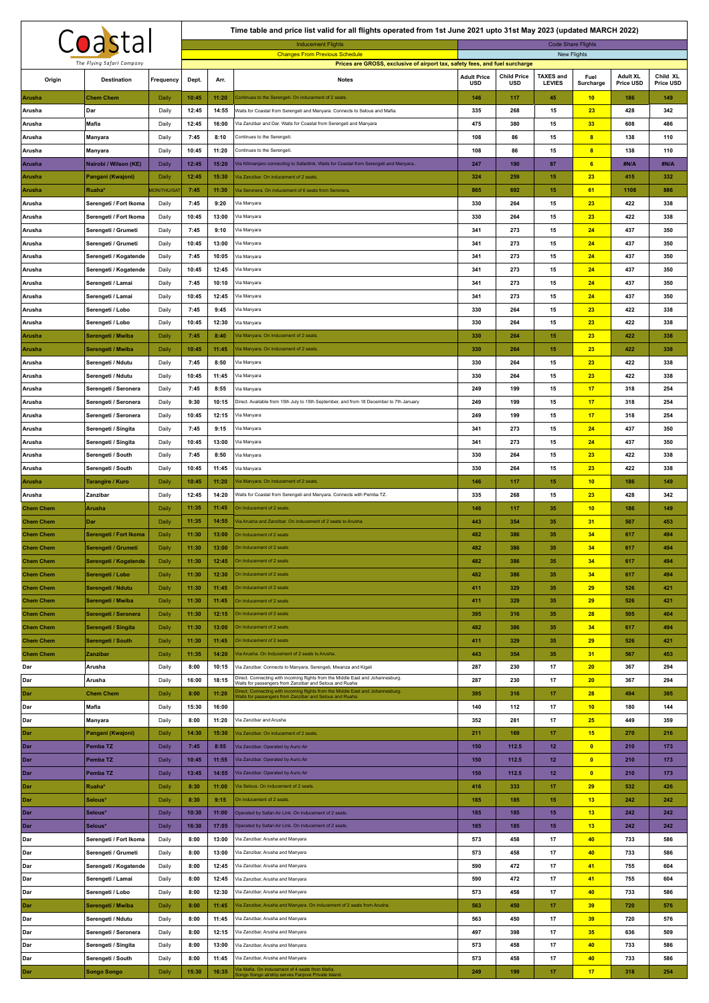|                                      | Coastal                                      |                             |                |                | Time table and price list valid for all flights operated from 1st June 2021 upto 31st May 2023 (updated MARCH 2022)<br><b>Inducement Flights</b> |                    |                    | <b>Code Share Flights</b> |                         |                 |            |
|--------------------------------------|----------------------------------------------|-----------------------------|----------------|----------------|--------------------------------------------------------------------------------------------------------------------------------------------------|--------------------|--------------------|---------------------------|-------------------------|-----------------|------------|
|                                      |                                              |                             |                |                | <b>Changes From Previous Schedule</b>                                                                                                            |                    |                    | New Flights               |                         |                 |            |
|                                      | The Flying Safari Company                    |                             |                |                | Prices are GROSS, exclusive of airport tax, safety fees, and fuel surcharge                                                                      | <b>Adult Price</b> | <b>Child Price</b> | <b>TAXES and</b>          | Fuel                    | <b>Adult XL</b> | Child XL   |
| Origin                               | <b>Destination</b>                           | Frequency                   | Dept.          | Arr.           | <b>Notes</b>                                                                                                                                     | <b>USD</b>         | USD                | <b>LEVIES</b>             | Surcharge               | Price USD       | Price USD  |
| <b>Arusha</b><br>Arusha              | <b>Chem Chem</b><br>Dar                      | Daily<br>Daily              | 10:45<br>12:45 | 11:20<br>14:55 | Continues to the Serengeti. On inducement of 2 seats<br>Waits for Coastal from Serengeti and Manyara. Connects to Selous and Mafia               | 146<br>335         | 117<br>268         | 45<br>15                  | 10<br>23                | 186<br>428      | 149<br>342 |
| Arusha                               | Mafia                                        | Daily                       | 12:45          | 16:00          | Via Zanzibar and Dar. Waits for Coastal from Serengeti and Manyara                                                                               | 475                | 380                | 15                        | 33                      | 608             | 486        |
| Arusha                               | Manyara                                      | Daily                       | 7:45           | 8:10           | Continues to the Serengeti.                                                                                                                      | 108                | 86                 | 15                        | $\overline{\mathbf{8}}$ | 138             | 110        |
| Arusha                               | Manyara                                      | Daily                       | 10:45          | 11:20          | Continues to the Serengeti.                                                                                                                      | 108                | 86                 | 15                        | $\overline{\mathbf{8}}$ | 138             | 110        |
| Arusha                               | Nairobi / Wilson (KE)                        | Daily                       | 12:45          | 15:20          | Via Kilimanjaro connecting to Safarilink. Waits for Coastal from Serengeti and Manyara                                                           | 247                | 190                | 87                        | 6                       | #N/A            | #N/A       |
| Arusha                               | Pangani (Kwajoni)<br>Ruaha*                  | Daily<br><b>MON/THU/SAT</b> | 12:45<br>7:45  | 15:30<br>11:30 | la Zanzibar. On inducement of 2 seats.<br>Via Seronera. On inducement of 6 seats from Seronera.                                                  | 324<br>865         | 259<br>692         | 15<br>15                  | 23<br>61                | 415<br>1108     | 332<br>886 |
| <b>Arusha</b><br>Arusha              | Serengeti / Fort Ikoma                       | Daily                       | 7:45           | 9:20           | Via Manyara                                                                                                                                      | 330                | 264                | 15                        | 23                      | 422             | 338        |
| Arusha                               | Serengeti / Fort Ikoma                       | Daily                       | 10:45          | 13:00          | Via Manyara                                                                                                                                      | 330                | 264                | 15                        | 23                      | 422             | 338        |
| Arusha                               | Serengeti / Grumeti                          | Daily                       | 7:45           | 9:10           | Via Manyara                                                                                                                                      | 341                | 273                | 15                        | 24                      | 437             | 350        |
| Arusha                               | Serengeti / Grumeti                          | Daily                       | 10:45          | 13:00          | Via Manyara                                                                                                                                      | 341                | 273                | 15                        | 24                      | 437             | 350        |
| Arusha                               | Serengeti / Kogatende                        | Daily                       | 7:45           | 10:05          | Via Manyara                                                                                                                                      | 341                | 273                | 15                        | 24                      | 437             | 350        |
| Arusha<br>Arusha                     | Serengeti / Kogatende<br>Serengeti / Lamai   | Daily<br>Daily              | 10:45<br>7:45  | 12:45<br>10:10 | Via Manyara<br>Via Manyara                                                                                                                       | 341<br>341         | 273<br>273         | 15<br>15                  | 24<br>24                | 437<br>437      | 350<br>350 |
| Arusha                               | Serengeti / Lamai                            | Daily                       | 10:45          | 12:45          | Via Manyara                                                                                                                                      | 341                | 273                | 15                        | 24                      | 437             | 350        |
| Arusha                               | Serengeti / Lobo                             | Daily                       | 7:45           | 9:45           | Via Manyara                                                                                                                                      | 330                | 264                | 15                        | 23                      | 422             | 338        |
| Arusha                               | Serengeti / Lobo                             | Daily                       | 10:45          | 12:30          | Via Manyara                                                                                                                                      | 330                | 264                | 15                        | 23                      | 422             | 338        |
| <b>Arusha</b>                        | Serengeti / Mwiba                            | Daily                       | 7:45           | 8:40           | /ia Manyara. On inducement of 2 seats.                                                                                                           | 330                | 264                | 15                        | 23                      | 422             | 338        |
| <b>Arusha</b>                        | Serengeti / Mwiba                            | Daily                       | 10:45          | 11:45          | Via Manyara. On inducement of 2 seats.                                                                                                           | 330                | 264                | 15                        | 23                      | 422             | 338        |
| Arusha<br>Arusha                     | Serengeti / Ndutu<br>Serengeti / Ndutu       | Daily<br>Daily              | 7:45<br>10:45  | 8:50<br>11:45  | Via Manyara<br>Via Manyara                                                                                                                       | 330<br>330         | 264<br>264         | 15<br>15                  | 23<br>23                | 422<br>422      | 338<br>338 |
| Arusha                               | Serengeti / Seronera                         | Daily                       | 7:45           | 8:55           | Via Manyara                                                                                                                                      | 249                | 199                | 15                        | 17                      | 318             | 254        |
| Arusha                               | Serengeti / Seronera                         | Daily                       | 9:30           | 10:15          | Direct. Available from 15th July to 15th September, and from 18 December to 7th January                                                          | 249                | 199                | 15                        | 17                      | 318             | 254        |
| Arusha                               | Serengeti / Seronera                         | Daily                       | 10:45          | 12:15          | Via Manyara                                                                                                                                      | 249                | 199                | 15                        | 17                      | 318             | 254        |
| Arusha                               | Serengeti / Singita                          | Daily                       | 7:45           | 9:15           | Via Manyara                                                                                                                                      | 341                | 273                | 15                        | 24                      | 437             | 350        |
| Arusha                               | Serengeti / Singita                          | Daily                       | 10:45          | 13:00          | Via Manyara                                                                                                                                      | 341                | 273                | 15                        | 24                      | 437             | 350        |
| Arusha<br>Arusha                     | Serengeti / South<br>Serengeti / South       | Daily<br>Daily              | 7:45<br>10:45  | 8:50<br>11:45  | Via Manyara<br>Via Manyara                                                                                                                       | 330<br>330         | 264<br>264         | 15<br>15                  | 23<br>23                | 422<br>422      | 338<br>338 |
| Arusha                               | <b>Tarangire / Kuro</b>                      | Daily                       | 10:45          | 11:20          | /ia Manyara. On inducement of 2 seats.                                                                                                           | 146                | 117                | 15                        | 10                      | 186             | 149        |
| Arusha                               | Zanzibar                                     | Daily                       | 12:45          | 14:20          | Waits for Coastal from Serengeti and Manyara. Connects with Pemba TZ.                                                                            | 335                | 268                | 15                        | 23                      | 428             | 342        |
| <b>Chem Chem</b>                     | Arusha                                       | Daily                       | 11:35          | 11:45          | On Inducement of 2 seats                                                                                                                         | 146                | 117                | 35                        | 10                      | 186             | 149        |
| <b>Chem Chem</b>                     | Dar                                          | Daily                       | 11:35          | 14:55          | Via Arusha and Zanzibar. On inducement of 2 seats to Arusha.                                                                                     | 443                | 354                | 35                        | 31                      | 567             | 453        |
| <b>Chem Chem</b>                     | Serengeti / Fort Ikoma                       | Daily                       | 11:30          | 13:00          | On Inducement of 2 seats                                                                                                                         | 482                | 386                | 35                        | 34                      | 617             | 494        |
| <b>Chem Chem</b><br><b>Chem Chem</b> | Serengeti / Grumeti<br>Serengeti / Kogatende | Daily<br>Daily              | 11:30<br>11:30 | 13:00          | On Inducement of 2 seats<br>12:45 On Inducement of 2 seats                                                                                       | 482<br>482         | 386<br>386         | 35<br>35                  | 34<br>34                | 617<br>617      | 494<br>494 |
| <b>Chem Chem</b>                     | Serengeti / Lobo                             | Daily                       | 11:30          | 12:30          | On Inducement of 2 seats                                                                                                                         | 482                | 386                | 35                        | 34                      | 617             | 494        |
| <b>Chem Chem</b>                     | Serengeti / Ndutu                            | Daily                       | 11:30          | 11:45          | On Inducement of 2 seats                                                                                                                         | 411                | 329                | 35                        | 29                      | 526             | 421        |
| <b>Chem Chem</b>                     | Serengeti / Mwiba                            | Daily                       | 11:30          | 11:45          | On Inducement of 2 seats                                                                                                                         | 411                | 329                | 35                        | 29                      | 526             | 421        |
| <b>Chem Chem</b>                     | Serengeti / Seronera                         | Daily                       | 11:30          | 12:15          | On Inducement of 2 seats                                                                                                                         | 395                | 316                | 35                        | 28                      | 505             | 404        |
| <b>Chem Chem</b>                     | Serengeti / Singita                          | Daily                       | 11:30          | 13:00          | On Inducement of 2 seats                                                                                                                         | 482                | 386                | 35                        | 34                      | 617             | 494        |
| <b>Chem Chem</b><br><b>Chem Chem</b> | Serengeti / South<br>Zanzibar                | Daily<br>Daily              | 11:30<br>11:35 | 11:45<br>14:20 | On Inducement of 2 seats<br>Via Arusha. On Inducement of 2 seats to Arusha.                                                                      | 411<br>443         | 329<br>354         | 35<br>35                  | 29<br>31                | 526<br>567      | 421<br>453 |
| Dar                                  | Arusha                                       | Daily                       | 8:00           | 10:15          | Via Zanzibar. Connects to Manyara, Serengeti, Mwanza and Kigali                                                                                  | 287                | 230                | 17                        | 20                      | 367             | 294        |
| Dar                                  | Arusha                                       | Daily                       | 16:00          | 18:15          | Direct. Connecting with incoming flights from the Middle East and Johannesburg.<br>Waits for passengers from Zanzibar and Selous and Ruaha       | 287                | 230                | 17                        | 20                      | 367             | 294        |
| Dar                                  | <b>Chem Chem</b>                             | Daily                       | 8:00           | 11:20          | lirect. Connecting with incoming flights from the Middle East and Johannesburg.<br>Vaits for passengers from Zanzibar and Selous and Ruaha       | 395                | 316                | 17                        | 28                      | 494             | 395        |
| Dar                                  | Mafia                                        | Daily                       | 15:30          | 16:00          |                                                                                                                                                  | 140                | 112                | 17                        | 10                      | 180             | 144        |
| Dar                                  | Manyara                                      | Daily                       | 8:00           | 11:20          | Via Zanzibar and Arusha                                                                                                                          | 352                | 281                | 17                        | 25                      | 449             | 359        |
| Dar<br>Dar                           | Pangani (Kwajoni)<br>Pemba TZ                | Daily<br>Daily              | 14:30<br>7:45  | 15:30<br>8:55  | /ia Zanzibar. On inducement of 2 seats.<br>Via Zanzibar. Operated by Auric Air                                                                   | 211<br>150         | 169<br>112.5       | 17<br>12                  | 15<br>$\bullet$         | 270<br>210      | 216<br>173 |
| Dar                                  | Pemba TZ                                     | Daily                       | 10:45          | 11:55          | Via Zanzibar. Operated by Auric Air                                                                                                              | 150                | 112.5              | 12                        | $\overline{\mathbf{0}}$ | 210             | 173        |
| Dar                                  | Pemba TZ                                     | Daily                       | 13:45          | 14:55          | Via Zanzibar. Operated by Auric Air                                                                                                              | 150                | 112.5              | 12                        | $\bullet$               | 210             | 173        |
| l Dar                                | Ruaha*                                       | Daily                       | 8:30           | 11:00          | Via Selous. On inducement of 2 seats.                                                                                                            | 416                | 333                | 17                        | 29                      | 532             | 426        |
| Dar                                  | Selous*                                      | Daily                       | 8:30           | 9:15           | On inducement of 2 seats.                                                                                                                        | 185                | 185                | 15                        | 13                      | 242             | 242        |
| Dar                                  | Selous*                                      | <b>Daily</b>                | 10:30          | 11:00          | Operated by Safari Air Link. On inducement of 2 seats.                                                                                           | 185                | 185                | 15                        | 13                      | 242             | 242        |
| Dar <sub>1</sub><br>Dar              | Selous*<br>Serengeti / Fort Ikoma            | <b>Daily</b><br>Daily       | 16:30<br>8:00  | 17:05<br>13:00 | Operated by Safari Air Link. On inducement of 2 seats.<br>Via Zanzibar, Arusha and Manyara                                                       | 185<br>573         | 185<br>458         | 15<br>17                  | 13<br>40                | 242<br>733      | 242<br>586 |
| Dar                                  | Serengeti / Grumeti                          | Daily                       | 8:00           | 13:00          | Via Zanzibar, Arusha and Manyara                                                                                                                 | 573                | 458                | 17                        | 40                      | 733             | 586        |
| Dar                                  | Serengeti / Kogatende                        | Daily                       | 8:00           | 12:45          | Via Zanzibar, Arusha and Manyara                                                                                                                 | 590                | 472                | 17                        | 41                      | 755             | 604        |
| Dar                                  | Serengeti / Lamai                            | Daily                       | 8:00           | 12:45          | Via Zanzibar, Arusha and Manyara                                                                                                                 | 590                | 472                | 17                        | 41                      | 755             | 604        |
| Dar                                  | Serengeti / Lobo                             | Daily                       | 8:00           | 12:30          | Via Zanzibar, Arusha and Manyara                                                                                                                 | 573                | 458                | 17                        | 40                      | 733             | 586        |
| Dar                                  | Serengeti / Mwiba                            | Daily                       | 8:00           | 11:45          | /ia Zanzibar, Arusha and Manyara. On inducement of 2 seats from Arusha.                                                                          | 563                | 450                | 17                        | 39                      | 720             | 576        |
| Dar<br>Dar                           | Serengeti / Ndutu<br>Serengeti / Seronera    | Daily<br>Daily              | 8:00<br>8:00   | 11:45<br>12:15 | Via Zanzibar, Arusha and Manyara<br>Via Zanzibar, Arusha and Manyara                                                                             | 563<br>497         | 450<br>398         | 17<br>17                  | 39<br>35                | 720<br>636      | 576<br>509 |
| Dar                                  | Serengeti / Singita                          | Daily                       | 8:00           | 13:00          | Via Zanzibar, Arusha and Manyara                                                                                                                 | 573                | 458                | 17                        | 40                      | 733             | 586        |
| Dar                                  | Serengeti / South                            | Daily                       | 8:00           | 11:45          | Via Zanzibar, Arusha and Manyara                                                                                                                 | 573                | 458                | 17                        | 40                      | 733             | 586        |
| Dar                                  | <b>Songo Songo</b>                           | Daily                       | 15:30          | 16:35          | /ia Mafia. On inducement of 4 seats from Mafia.<br>Songo Songo airstrip serves Fanjove Private Island.                                           | 249                | 199                | 17                        | 17                      | 318             | 254        |

 $\mathsf{r}$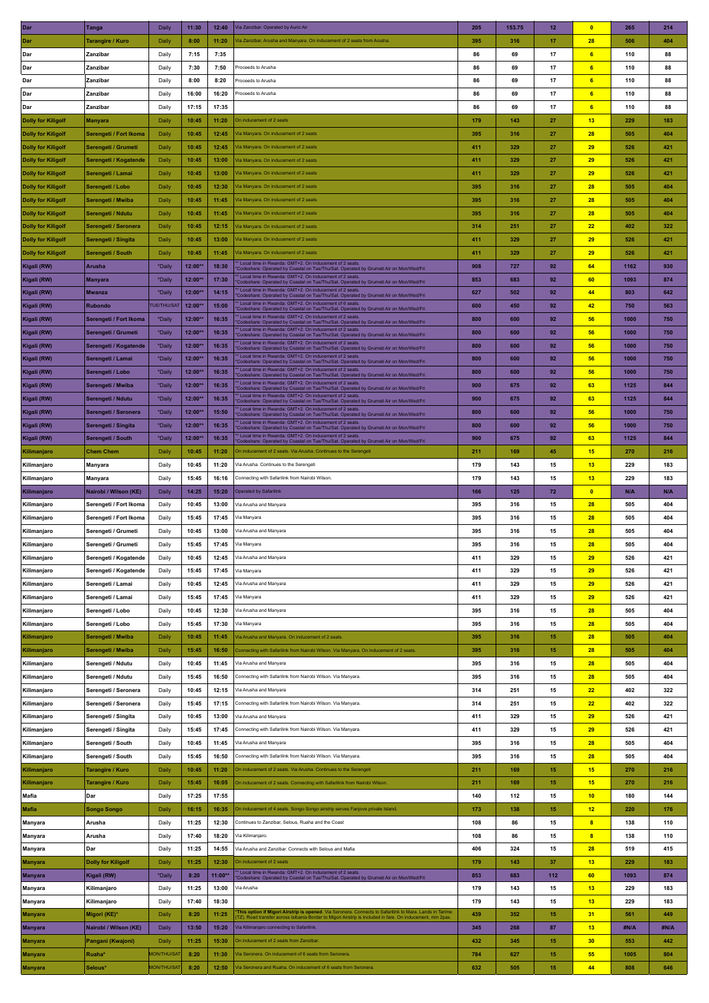| Dar                                                    | <b>Tanga</b>                               | Daily                 | 11:30          | 12:40          | Via Zanzibar. Operated by Auric Air                                                                                                                                                                                                                                               | 205        | 153.75     | 12       | $\bullet$               | 265         | 214         |
|--------------------------------------------------------|--------------------------------------------|-----------------------|----------------|----------------|-----------------------------------------------------------------------------------------------------------------------------------------------------------------------------------------------------------------------------------------------------------------------------------|------------|------------|----------|-------------------------|-------------|-------------|
| Dar                                                    | Tarangire / Kuro                           | Daily                 | 8:00           | 11:20          | Via Zanzibar, Arusha and Manyara. On inducement of 2 seats from Arusha.                                                                                                                                                                                                           | 395        | 316        | 17       | 28                      | 506         | 404         |
| Dar                                                    | Zanzibar                                   | Daily                 | 7:15           | 7:35           |                                                                                                                                                                                                                                                                                   | 86         | 69         | 17       | 6 <sub>o</sub>          | 110         | 88          |
| Dar                                                    | Zanzibar                                   | Daily                 | 7:30           | 7:50           | Proceeds to Arusha                                                                                                                                                                                                                                                                | 86         | 69         | 17       | 6 <sup>2</sup>          | 110         | 88          |
| Dar                                                    | Zanzibar                                   | Daily                 | 8:00           | 8:20           | Proceeds to Arusha                                                                                                                                                                                                                                                                | 86         | 69         | 17       | 6 <sub>o</sub>          | 110         | 88          |
| Dar                                                    | Zanzibar                                   | Daily                 | 16:00          | 16:20          | Proceeds to Arusha                                                                                                                                                                                                                                                                | 86         | 69         | 17       | 6                       | 110         | 88          |
| Dar                                                    | Zanzibar                                   | Daily                 | 17:15          | 17:35          |                                                                                                                                                                                                                                                                                   | 86         | 69         | 17       | 6 <sup>2</sup>          | 110         | 88          |
| <b>Dolly for Kiligolf</b>                              | <b>Manyara</b>                             | Daily                 | 10:45          | 11:20          | On inducement of 2 seats                                                                                                                                                                                                                                                          | 179        | 143        | 27       | 13                      | 229         | 183         |
| <b>Dolly for Kiligolf</b>                              | Serengeti / Fort Ikoma                     | Daily                 | 10:45          | 12:45          | Via Manyara. On inducement of 2 seats                                                                                                                                                                                                                                             | 395        | 316        | 27       | 28                      | 505         | 404         |
| <b>Dolly for Kiligolf</b>                              | Serengeti / Grumeti                        | Daily                 | 10:45          | 12:45          | la Manyara. On inducement of 2 seats                                                                                                                                                                                                                                              | 411        | 329        | 27       | 29                      | 526         | 421         |
| <b>Dolly for Kiligolf</b>                              | Serengeti / Kogatende                      | Daily                 | 10:45          | 13:00          | Via Manyara. On inducement of 2 seats                                                                                                                                                                                                                                             | 411        | 329        | 27       | 29                      | 526         | 421         |
| <b>Dolly for Kiligolf</b>                              | Serengeti / Lamai                          | Daily                 | 10:45          | 13:00          | Via Manyara. On inducement of 2 seats                                                                                                                                                                                                                                             | 411        | 329        | 27       | 29                      | 526         | 421         |
| <b>Dolly for Kiligolf</b>                              | Serengeti / Lobo                           | Daily                 | 10:45          | 12:30          | Via Manyara. On inducement of 2 seats<br>Via Manyara. On inducement of 2 seats                                                                                                                                                                                                    | 395        | 316        | 27       | 28<br>28                | 505         | 404         |
| <b>Dolly for Kiligolf</b><br><b>Dolly for Kiligolf</b> | Serengeti / Mwiba<br>Serengeti / Ndutu     | Daily<br>Daily        | 10:45<br>10:45 | 11:45<br>11:45 | la Manyara. On inducement of 2 seats                                                                                                                                                                                                                                              | 395<br>395 | 316<br>316 | 27<br>27 | 28                      | 505<br>505  | 404<br>404  |
| <b>Dolly for Kiligolf</b>                              | Serengeti / Seronera                       | Daily                 | 10:45          | 12:15          | Via Manyara. On inducement of 2 seats                                                                                                                                                                                                                                             | 314        | 251        | 27       | 22                      | 402         | 322         |
| <b>Dolly for Kiligolf</b>                              | Serengeti / Singita                        | Daily                 | 10:45          | 13:00          | Via Manyara. On inducement of 2 seats                                                                                                                                                                                                                                             | 411        | 329        | 27       | 29                      | 526         | 421         |
| <b>Dolly for Kiligolf</b>                              | Serengeti / South                          | Daily                 | 10:45          | 11:45          | Via Manyara. On inducement of 2 seats                                                                                                                                                                                                                                             | 411        | 329        | 27       | 29                      | 526         | 421         |
| Kigali (RW)                                            | Arusha                                     | *Daily                | 12:00*         | 18:30          | Local time in Rwanda: GMT+2. On inducement of 2 seats.<br>Codeshare: Operated by Coastal on Tue/Thu/Sat. Operated by Grumeti Air on Mon/Wed/Fri                                                                                                                                   | 908        | 727        | 92       | 64                      | 1162        | 930         |
| Kigali (RW)                                            | <b>Manyara</b>                             | *Daily                | 12:00*         | 17:30          | Local time in Rwanda: GMT+2. On inducement of 2 seats<br>Codeshare: Operated by Coastal on Tue/Thu/Sat. Operated by Grumeti Air on Mon/Wed/Fri                                                                                                                                    | 853        | 683        | 92       | 60                      | 1093        | 874         |
| Kigali (RW)                                            | <b>Mwanza</b>                              | *Daily                | 12:00*         | 14:15          | * Local time in Rwanda: GMT+2. On inducement of 2 seats<br>Codeshare: Operated by Coastal on Tue/Thu/Sat. Operated by Grumeti Air on Mon/Wed/Fri                                                                                                                                  | 627        | 502        | 92       | 44                      | 803         | 642         |
| Kigali (RW)                                            | <b>Rubondo</b>                             | <b>TUE/THU/SAT</b>    | 12:00*         | 15:00          | * Local time in Rwanda: GMT+2. On inducement of 6 seats.<br>Codeshare: Operated by Coastal on Tue/Thu/Sat. Operated by Grumeti Air on Mon/Wed/Fri                                                                                                                                 | 600        | 450        | 92       | 42                      | 750         | 563         |
| Kigali (RW)                                            | Serengeti / Fort Ikoma                     | *Daily                | 12:00*         | 16:35          | Local time in Rwanda: GMT+2. On inducement of 2 seats<br>Codeshare: Operated by Coastal on Tue/Thu/Sat. Operated by Grumeti Air on Mon/Wed/Fri                                                                                                                                    | 800        | 600        | 92       | 56                      | 1000        | 750         |
| Kigali (RW)                                            | Serengeti / Grumeti                        | *Daily                | 12:00*         | 16:35          | * Local time in Rwanda: GMT+2. On inducement of 2 seats.<br>Codeshare: Operated by Coastal on Tue/Thu/Sat. Operated by Grumeti Air on Mon/Wed/Fri                                                                                                                                 | 800        | 600        | 92       | 56                      | 1000        | 750         |
| Kigali (RW)                                            | Serengeti / Kogatende                      | *Daily                | 12:00*         | 16:35          | Local time in Rwanda: GMT+2. On inducement of 2 seats.<br>Codeshare: Operated by Coastal on Tue/Thu/Sat. Operated by Grumeti Air on Mon/Wed/Fri                                                                                                                                   | 800        | 600        | 92       | 56                      | 1000        | 750         |
| Kigali (RW)                                            | Serengeti / Lamai                          | *Daily                | 12:00*         | 16:35          | Local time in Rwanda: GMT+2. On inducement of 2 seats.<br>Codeshare: Operated by Coastal on Tue/Thu/Sat. Operated by Grumeti Air on Mon/Wed/Fri                                                                                                                                   | 800        | 600        | 92       | 56                      | 1000        | 750         |
| Kigali (RW)                                            | Serengeti / Lobo                           | *Daily                | 12:00*         | 16:35          | Local time in Rwanda: GMT+2. On inducement of 2 seats.<br>Codeshare: Operated by Coastal on Tue/Thu/Sat. Operated by Grumeti Air on Mon/Wed/Fri                                                                                                                                   | 800        | 600        | 92       | 56                      | 1000        | 750         |
| Kigali (RW)                                            | Serengeti / Mwiba                          | *Daily                | 12:00*         | 16:35          | Local time in Rwanda: GMT+2. On inducement of 2 seats.<br>Codeshare: Operated by Coastal on Tue/Thu/Sat. Operated by Grumeti Air on Mon/Wed/Fri                                                                                                                                   | 900        | 675        | 92       | 63                      | 1125        | 844         |
| Kigali (RW)                                            | Serengeti / Ndutu                          | *Daily                | 12:00*         | 16:35          | * Local time in Rwanda: GMT+2. On inducement of 2 seats.<br>Codeshare: Operated by Coastal on Tue/Thu/Sat. Operated by Grumeti Air on Mon/Wed/Fri<br>Local time in Rwanda: GMT+2. On inducement of 2 seats.                                                                       | 900        | 675        | 92       | 63                      | 1125        | 844         |
| Kigali (RW)                                            | Serengeti / Seronera                       | *Daily                | 12:00*         | 15:50          | Codeshare: Operated by Coastal on Tue/Thu/Sat. Operated by Grumeti Air on Mon/Wed/Fri<br>* Local time in Rwanda: GMT+2. On inducement of 2 seats.                                                                                                                                 | 800        | 600        | 92       | 56                      | 1000        | 750         |
| Kigali (RW)                                            | Serengeti / Singita                        | *Daily                | 12:00*         | 16:35          | Codeshare: Operated by Coastal on Tue/Thu/Sat. Operated by Grumeti Air on Mon/Wed/Fri<br>Local time in Rwanda: GMT+2. On inducement of 2 seats.                                                                                                                                   | 800        | 600        | 92       | 56                      | 1000        | 750         |
| Kigali (RW)                                            | Serengeti / South                          | *Daily                | 12:00*         | 16:35          | Codeshare: Operated by Coastal on Tue/Thu/Sat. Operated by Grumeti Air on Mon/Wed/Fri                                                                                                                                                                                             | 900        | 675        | 92       | 63                      | 1125        | 844         |
| Kilimanjaro<br>Kilimanjaro                             | <b>Chem Chem</b><br>Manyara                | Daily<br>Daily        | 10:45<br>10:45 | 11:20<br>11:20 | On inducement of 2 seats. Via Arusha. Continues to the Serengeti<br>Via Arusha. Continues to the Serengeti                                                                                                                                                                        | 211<br>179 | 169<br>143 | 45<br>15 | 15<br>13                | 270<br>229  | 216<br>183  |
| Kilimanjaro                                            | Manyara                                    | Daily                 | 15:45          | 16:16          | Connecting with Safarilink from Nairobi Wilson.                                                                                                                                                                                                                                   | 179        | 143        | 15       | 13                      | 229         | 183         |
| Kilimanjaro                                            | Nairobi / Wilson (KE)                      | Daily                 | 14:25          | 15:20          | Operated by Safarilink                                                                                                                                                                                                                                                            | 166        | 125        | 72       | $\bullet$               | <b>N/A</b>  | N/A         |
|                                                        |                                            |                       |                |                |                                                                                                                                                                                                                                                                                   |            |            |          |                         |             |             |
| Kilimanjaro                                            | Serengeti / Fort Ikoma                     | Daily                 | 10:45          | 13:00          | Via Arusha and Manyara                                                                                                                                                                                                                                                            | 395        | 316        | 15       | 28                      | 505         | 404         |
| Kilimanjaro                                            | Serengeti / Fort Ikoma                     | Daily                 | 15:45          | 17:45          | Via Manyara                                                                                                                                                                                                                                                                       | 395        | 316        | 15       | 28                      | 505         | 404         |
| Kilimanjaro                                            | Serengeti / Grumeti                        | Daily                 | 10:45          | 13:00          | Via Arusha and Manyara                                                                                                                                                                                                                                                            | 395        | 316        | 15       | 28                      | 505         | 404         |
| Kilimanjaro                                            | Serengeti / Grumeti                        | Daily                 | 15:45          | 17:45          | Via Manyara                                                                                                                                                                                                                                                                       | 395        | 316        | 15       | 28                      | 505         | 404         |
| Kilimanjaro                                            | Serengeti / Kogatende                      | Daily                 | 10:45          | 12:45          | Via Arusha and Manyara                                                                                                                                                                                                                                                            | 411        | 329        | 15       | 29                      | 526         | 421         |
| Kilimanjaro                                            | Serengeti / Kogatende                      | Daily                 | 15:45          | 17:45          | Via Manyara                                                                                                                                                                                                                                                                       | 411        | 329        | 15       | 29                      | 526         | 421         |
| Kilimanjaro                                            | Serengeti / Lamai                          | Daily                 | 10:45          | 12:45          | Via Arusha and Manyara                                                                                                                                                                                                                                                            | 411        | 329        | 15       | 29                      | 526         | 421         |
| Kilimanjaro                                            | Serengeti / Lamai                          | Daily                 | 15:45          | 17:45          | Via Manyara                                                                                                                                                                                                                                                                       | 411        | 329        | 15       | 29                      | 526         | 421         |
| Kilimanjaro                                            | Serengeti / Lobo                           | Daily                 | 10:45          | 12:30          | Via Arusha and Manyara                                                                                                                                                                                                                                                            | 395        | 316        | 15       | 28                      | 505         | 404         |
| Kilimanjaro                                            | Serengeti / Lobo                           | Daily                 | 15:45          | 17:30          | Via Manyara                                                                                                                                                                                                                                                                       | 395        | 316        | 15       | 28                      | 505         | 404         |
| Kilimanjaro                                            | Serengeti / Mwiba                          | Daily                 | 10:45          | 11:45          | Via Arusha and Manyara. On inducement of 2 seats.                                                                                                                                                                                                                                 | 395        | 316        | 15       | 28                      | 505         | 404         |
| Kilimanjaro                                            | Serengeti / Mwiba                          | Daily                 | 15:45          | 16:50          | Connecting with Safarilink from Nairobi Wilson. Via Manyara. On inducement of 2 seats.                                                                                                                                                                                            | 395        | 316        | 15       | 28                      | 505         | 404         |
| Kilimanjaro                                            | Serengeti / Ndutu                          | Daily                 | 10:45          | 11:45          | Via Arusha and Manyara                                                                                                                                                                                                                                                            | 395        | 316        | 15       | 28                      | 505         | 404         |
| Kilimanjaro                                            | Serengeti / Ndutu                          | Daily                 | 15:45          | 16:50          | Connecting with Safarilink from Nairobi Wilson. Via Manyara.                                                                                                                                                                                                                      | 395        | 316        | 15       | 28                      | 505         | 404         |
| Kilimanjaro                                            | Serengeti / Seronera                       | Daily                 | 10:45          | 12:15          | Via Arusha and Manyara                                                                                                                                                                                                                                                            | 314        | 251        | 15       | 22                      | 402         | 322         |
| Kilimanjaro                                            | Serengeti / Seronera                       | Daily                 | 15:45          | 17:15          | Connecting with Safarilink from Nairobi Wilson. Via Manyara.                                                                                                                                                                                                                      | 314        | 251        | 15       | 22                      | 402         | 322         |
| Kilimanjaro                                            | Serengeti / Singita                        | Daily                 | 10:45          | 13:00          | Via Arusha and Manyara                                                                                                                                                                                                                                                            | 411        | 329        | 15       | 29                      | 526         | 421         |
| Kilimanjaro                                            | Serengeti / Singita                        | Daily                 | 15:45          | 17:45          | Connecting with Safarilink from Nairobi Wilson. Via Manyara.                                                                                                                                                                                                                      | 411        | 329        | 15       | 29                      | 526         | 421         |
| Kilimanjaro<br>Kilimanjaro                             | Serengeti / South<br>Serengeti / South     | Daily<br>Daily        | 10:45<br>15:45 | 11:45<br>16:50 | Via Arusha and Manyara<br>Connecting with Safarilink from Nairobi Wilson. Via Manyara.                                                                                                                                                                                            | 395<br>395 | 316<br>316 | 15<br>15 | 28<br>28                | 505<br>505  | 404<br>404  |
| Kilimanjaro                                            | <b>Tarangire / Kuro</b>                    | Daily                 | 10:45          | 11:20          | On inducement of 2 seats. Via Arusha. Continues to the Serengeti                                                                                                                                                                                                                  | 211        | 169        | 15       | 15                      | 270         | 216         |
| Kilimanjaro                                            | <b>Tarangire / Kuro</b>                    | Daily                 | 15:45          | 16:05          | On inducement of 2 seats. Connecting with Safarilink from Nairobi Wilson.                                                                                                                                                                                                         | 211        | 169        | 15       | 15                      | 270         | 216         |
| Mafia                                                  | Dar                                        | Daily                 | 17:25          | 17:55          |                                                                                                                                                                                                                                                                                   | 140        | 112        | 15       | 10                      | 180         | 144         |
| <b>Mafia</b>                                           | <b>Songo Songo</b>                         | Daily                 | 16:15          | 16:35          | On inducement of 4 seats. Songo Songo airstrip serves Fanjove private Island.                                                                                                                                                                                                     | 173        | 138        | 15       | 12                      | 220         | 176         |
| <b>Manyara</b>                                         | Arusha                                     | Daily                 | 11:25          | 12:30          | Continues to Zanzibar, Selous, Ruaha and the Coast                                                                                                                                                                                                                                | 108        | 86         | 15       | $\overline{\mathbf{8}}$ | 138         | 110         |
| Manyara                                                | Arusha                                     | Daily                 | 17:40          | 18:20          | Via Kilimanjaro.                                                                                                                                                                                                                                                                  | 108        | 86         | 15       | $\overline{\mathbf{8}}$ | 138         | 110         |
| Manyara                                                | Dar                                        | Daily                 | 11:25          | 14:55          | Via Arusha and Zanzibar. Connects with Selous and Mafia                                                                                                                                                                                                                           | 406        | 324        | 15       | 28                      | 519         | 415         |
| <b>Manyara</b>                                         | <b>Dolly for Kiligolf</b>                  | Daily                 | 11:25          | 12:30          | On inducement of 2 seats                                                                                                                                                                                                                                                          | 179        | 143        | 37       | 13                      | 229         | 183         |
| <b>Manyara</b>                                         | Kigali (RW)                                | *Daily                | 8:20           | 11:00**        | * Local time in Rwanda: GMT+2. On inducement of 2 seats<br>Codeshare: Operated by Coastal on Tue/Thu/Sat. Operated by Grumeti Air on Mon/Wed/Fri                                                                                                                                  | 853        | 683        | 112      | 60                      | 1093        | 874         |
| <b>Manyara</b>                                         | Kilimanjaro                                | Daily                 | 11:25          | 13:00          | Via Arusha                                                                                                                                                                                                                                                                        | 179        | 143        | 15       | 13                      | 229         | 183         |
| Manyara                                                | Kilimanjaro                                | Daily                 | 17:40          | 18:30          |                                                                                                                                                                                                                                                                                   | 179        | 143        | 15       | 13                      | 229         | 183         |
| <b>Manyara</b>                                         | Migori (KE)*                               | Daily                 | 8:20           | 11:25          | Thi <mark>s option if Migori Airstrip is opened</mark> . Via Seronera. Connects to Safarilink to Mara. Lands in Tarime<br>TZ). Road transfer across Isibania Border to Migori Airstrip is included in fare. On inducement, min 2pax.<br>/ia Kilimanjaro connecting to Safarilink. | 439<br>345 | 352        | 15       | 31                      | 561<br>#N/A | 449         |
| <b>Manyara</b><br>Manyara                              | Nairobi / Wilson (KE)<br>Pangani (Kwajoni) | <b>Daily</b><br>Daily | 13:50<br>11:25 | 15:20<br>15:30 | On inducement of 2 seats from Zanzibar.                                                                                                                                                                                                                                           | 432        | 268<br>345 | 87<br>15 | 13<br>30                | 553         | #N/A<br>442 |
| <b>Manyara</b>                                         | Ruaha*                                     | <b>MON/THU/SAT</b>    | 8:20           | 11:30          | /ia Seronera. On inducement of 6 seats from Seronera.                                                                                                                                                                                                                             | 784        | 627        | 15       | 55                      | 1005        | 804         |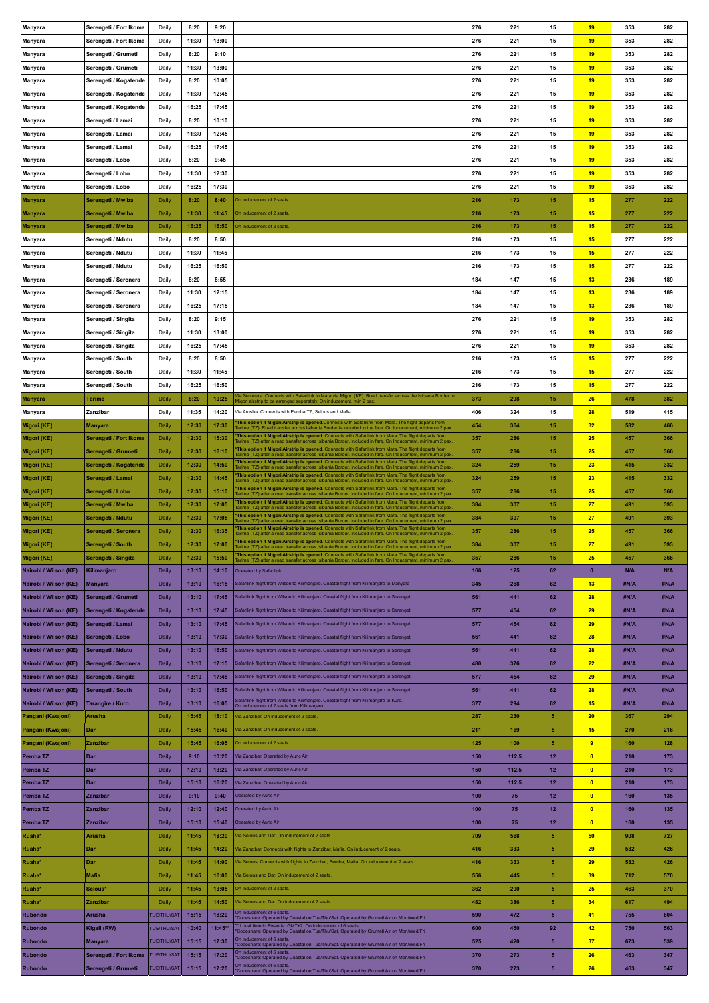| <b>Manyara</b>        | Serengeti / Fort Ikoma  | Daily              | 8:20  | 9:20      |                                                                                                                                                                                                                                         | 276 | 221   | 15                | 19             | 353        | 282  |
|-----------------------|-------------------------|--------------------|-------|-----------|-----------------------------------------------------------------------------------------------------------------------------------------------------------------------------------------------------------------------------------------|-----|-------|-------------------|----------------|------------|------|
|                       | Serengeti / Fort Ikoma  | Daily              | 11:30 | 13:00     |                                                                                                                                                                                                                                         | 276 | 221   | 15                | 19             | 353        | 282  |
| <b>Manyara</b>        |                         |                    |       |           |                                                                                                                                                                                                                                         |     |       |                   |                |            |      |
| Manyara               | Serengeti / Grumeti     | Daily              | 8:20  | 9:10      |                                                                                                                                                                                                                                         | 276 | 221   | 15                | 19             | 353        | 282  |
| <b>Manyara</b>        | Serengeti / Grumeti     | Daily              | 11:30 | 13:00     |                                                                                                                                                                                                                                         | 276 | 221   | 15                | 19             | 353        | 282  |
| <b>Manyara</b>        | Serengeti / Kogatende   | Daily              | 8:20  | 10:05     |                                                                                                                                                                                                                                         | 276 | 221   | 15                | 19             | 353        | 282  |
| <b>Manyara</b>        | Serengeti / Kogatende   | Daily              | 11:30 | 12:45     |                                                                                                                                                                                                                                         | 276 | 221   | 15                | 19             | 353        | 282  |
|                       |                         |                    |       |           |                                                                                                                                                                                                                                         |     |       |                   |                |            |      |
| <b>Manyara</b>        | Serengeti / Kogatende   | Daily              | 16:25 | 17:45     |                                                                                                                                                                                                                                         | 276 | 221   | 15                | 19             | 353        | 282  |
| <b>Manyara</b>        | Serengeti / Lamai       | Daily              | 8:20  | 10:10     |                                                                                                                                                                                                                                         | 276 | 221   | 15                | 19             | 353        | 282  |
| Manyara               | Serengeti / Lamai       | Daily              | 11:30 | 12:45     |                                                                                                                                                                                                                                         | 276 | 221   | 15                | 19             | 353        | 282  |
| Manyara               | Serengeti / Lamai       | Daily              | 16:25 | 17:45     |                                                                                                                                                                                                                                         | 276 | 221   | 15                | 19             | 353        | 282  |
|                       |                         |                    |       |           |                                                                                                                                                                                                                                         | 276 | 221   |                   |                |            | 282  |
| <b>Manyara</b>        | Serengeti / Lobo        | Daily              | 8:20  | 9:45      |                                                                                                                                                                                                                                         |     |       | 15                | 19             | 353        |      |
| <b>Manyara</b>        | Serengeti / Lobo        | Daily              | 11:30 | 12:30     |                                                                                                                                                                                                                                         | 276 | 221   | 15                | 19             | 353        | 282  |
| <b>Manyara</b>        | Serengeti / Lobo        | Daily              | 16:25 | 17:30     |                                                                                                                                                                                                                                         | 276 | 221   | 15                | 19             | 353        | 282  |
| Manyara               | Serengeti / Mwiba       | Daily              | 8:20  | 8:40      | On inducement of 2 seats                                                                                                                                                                                                                | 216 | 173   | 15                | 15             | 277        | 222  |
| Manyara               | Serengeti / Mwiba       | Daily              | 11:30 | 11:45     | On inducement of 2 seats                                                                                                                                                                                                                | 216 | 173   | 15                | 15             | 277        | 222  |
|                       |                         |                    |       |           |                                                                                                                                                                                                                                         |     |       |                   |                |            |      |
| <b>Manyara</b>        | Serengeti / Mwiba       | Daily              | 16:25 | 16:50     | On inducement of 2 seats.                                                                                                                                                                                                               | 216 | 173   | 15                | 15             | 277        | 222  |
| Manyara               | Serengeti / Ndutu       | Daily              | 8:20  | 8:50      |                                                                                                                                                                                                                                         | 216 | 173   | 15                | 15             | 277        | 222  |
| <b>Manyara</b>        | Serengeti / Ndutu       | Daily              | 11:30 | 11:45     |                                                                                                                                                                                                                                         | 216 | 173   | 15                | 15             | 277        | 222  |
| <b>Manyara</b>        | Serengeti / Ndutu       | Daily              | 16:25 | 16:50     |                                                                                                                                                                                                                                         | 216 | 173   | 15                | 15             | 277        | 222  |
|                       |                         |                    |       |           |                                                                                                                                                                                                                                         |     |       |                   |                |            |      |
| <b>Manyara</b>        | Serengeti / Seronera    | Daily              | 8:20  | 8:55      |                                                                                                                                                                                                                                         | 184 | 147   | 15                | 13             | 236        | 189  |
| <b>Manyara</b>        | Serengeti / Seronera    | Daily              | 11:30 | 12:15     |                                                                                                                                                                                                                                         | 184 | 147   | 15                | 13             | 236        | 189  |
| Manyara               | Serengeti / Seronera    | Daily              | 16:25 | 17:15     |                                                                                                                                                                                                                                         | 184 | 147   | 15                | 13             | 236        | 189  |
| Manyara               | Serengeti / Singita     | Daily              | 8:20  | 9:15      |                                                                                                                                                                                                                                         | 276 | 221   | 15                | 19             | 353        | 282  |
|                       | Serengeti / Singita     | Daily              | 11:30 | 13:00     |                                                                                                                                                                                                                                         | 276 | 221   | 15                | 19             | 353        | 282  |
| <b>Manyara</b>        |                         |                    |       |           |                                                                                                                                                                                                                                         |     |       |                   |                |            |      |
| <b>Manyara</b>        | Serengeti / Singita     | Daily              | 16:25 | 17:45     |                                                                                                                                                                                                                                         | 276 | 221   | 15                | 19             | 353        | 282  |
| <b>Manyara</b>        | Serengeti / South       | Daily              | 8:20  | 8:50      |                                                                                                                                                                                                                                         | 216 | 173   | 15                | 15             | 277        | 222  |
| Manyara               | Serengeti / South       | Daily              | 11:30 | 11:45     |                                                                                                                                                                                                                                         | 216 | 173   | 15                | 15             | 277        | 222  |
| <b>Manyara</b>        | Serengeti / South       | Daily              | 16:25 | 16:50     |                                                                                                                                                                                                                                         | 216 | 173   | 15                | 15             | 277        | 222  |
|                       |                         |                    |       |           | la Seronera. Connects with Safarilink to Mara via Migori (KE). Road transfer across the Isibania Border to                                                                                                                              |     |       |                   |                |            |      |
| Manyara               | <b>Tarime</b>           | Daily              | 8:20  | 10:25     | fligori airstrip to be arranged seperately. On inducement, min 2 pax                                                                                                                                                                    | 373 | 298   | 15                | 26             | 478        | 382  |
| <b>Manyara</b>        | Zanzibar                | Daily              | 11:35 | 14:20     | Via Arusha. Connects with Pemba TZ, Selous and Mafia                                                                                                                                                                                    | 406 | 324   | 15                | 28             | 519        | 415  |
| Migori (KE)           | <b>Manyara</b>          | Daily              | 12:30 | 17:30     | This option if Migori Airstrip is opened. Connects with Safarilink from Mara. The flight departs from<br>[arime (TZ). Road transfer across Isibania Border is included in the fare. On Inducement, minimum 2 pax.                       | 454 | 364   | 15                | 32             | 582        | 466  |
| Migori (KE)           | Serengeti / Fort Ikoma  | Daily              | 12:30 | 15:30     | This option if Migori Airstrip is opened. Connects with Safarilink from Mara. The flight departs from                                                                                                                                   | 357 | 286   | 15                | 25             | 457        | 366  |
|                       |                         |                    |       |           | arime (TZ) after a road transfer across Isibania Border. Included in fare. On Inducement, minimum 2 pax.<br>This option if Migori Airstrip is opened. Connects with Safarilink from Mara. The flight departs from                       |     |       |                   |                |            |      |
| Migori (KE)           | Serengeti / Grumeti     | Daily              | 12:30 | 16:10     | arime (TZ) after a road transfer across Isibania Border. Included in fare. On Inducement, minimum 2 pax                                                                                                                                 | 357 | 286   | 15                | 25             | 457        | 366  |
| Migori (KE)           | Serengeti / Kogatende   | Daily              | 12:30 | 14:50     | This option if Migori Airstrip is opened. Connects with Safarilink from Mara. The flight departs from<br>arime (TZ) after a road transfer across Isibania Border. Included in fare. On Inducement, minimum 2 pax.                       | 324 | 259   | 15                | 23             | 415        | 332  |
| Migori (KE)           | Serengeti / Lamai       | Daily              | 12:30 | 14:45     | This option if Migori Airstrip is opened. Connects with Safarilink from Mara. The flight departs from<br>Tarime (TZ) after a road transfer across Isibania Border. Included in fare. On Inducement, minimum 2 pax                       | 324 | 259   | 15                | 23             | 415        | 332  |
| Migori (KE)           | Serengeti / Lobo        | Daily              | 12:30 | 15:10     | This option if Migori Airstrip is opened. Connects with Safarilink from Mara. The flight departs from<br>arime (TZ) after a road transfer across Isibania Border. Included in fare. On Inducement, minimum 2 pax                        | 357 | 286   | 15                | 25             | 457        | 366  |
|                       |                         | Daily              | 12:30 | 17:05     | This option if Migori Airstrip is opened. Connects with Safarilink from Mara. The flight departs from                                                                                                                                   | 384 | 307   | 15                | 27             | 491        | 393  |
| Migori (KE)           | Serengeti / Mwiba       |                    |       |           | arime (TZ) after a road transfer across Isibania Border. Included in fare. On Inducement, minimum 2 pax                                                                                                                                 |     |       |                   |                |            |      |
|                       |                         |                    |       |           |                                                                                                                                                                                                                                         |     |       |                   |                |            |      |
| Migori (KE)           | Serengeti / Ndutu       | Daily              | 12:30 | 17:05     | This option if Migori Airstrip is opened. Connects with Safarilink from Mara. The flight departs from<br>arime (TZ) after a road transfer across Isibania Border. Included in fare. On Inducement, minimum 2 pax                        | 384 | 307   | 15                | 27             | 491        | 393  |
| Migori (KE)           | Serengeti / Seronera    | Daily              | 12:30 | 16:35     | This option if Migori Airstrip is opened. Connects with Safarilink from Mara. The flight departs from<br>arime (TZ) after a road transfer across Isibania Border. Included in fare. On Inducement, minimum 2 pax                        | 357 | 286   | 15                | 25             | 457        | 366  |
| Migori (KE)           | Serengeti / South       | Daily              | 12:30 | 17:00     |                                                                                                                                                                                                                                         | 384 | 307   | 15                | 27             | 491        | 393  |
|                       |                         |                    |       |           | This option if Migori Airstrip is opened. Connects with Safarilink from Mara. The flight departs from<br>Tarime (TZ) after a road transfer across Isibania Border. Included in fare. On Inducement, minimum 2 pax<br>ri Airstrip is ope |     |       |                   |                |            |      |
| Migori (KE)           | Serengeti / Singita     | Daily              | 12:30 | 15:50     | arime (TZ) after a road transfer across Isibania Border. Included in fare. On Inducement, minimum 2 pax.                                                                                                                                | 357 | 286   | 15                | 25             | 457        | 366  |
| Nairobi / Wilson (KE) | Kilimanjaro             | Daily              | 13:10 | 14:10     | Operated by Safarilink                                                                                                                                                                                                                  | 166 | 125   | 62                | $\bullet$      | <b>N/A</b> | N/A  |
| Nairobi / Wilson (KE) | <b>Manyara</b>          | Daily              | 13:10 | 16:15     | Safarilink flight from Wilson to Kilimanjaro. Coastal flight from Kilimanjaro to Manyara                                                                                                                                                | 345 | 268   | 62                | 13             | #N/A       | #N/A |
| Nairobi / Wilson (KE) | Serengeti / Grumeti     | <b>Daily</b>       | 13:10 | 17:45     | Safarilink flight from Wilson to Kilimanjaro. Coastal flight from Kilimanjaro to Serengeti                                                                                                                                              | 561 | 441   | 62                | 28             | #N/A       | #N/A |
|                       |                         |                    |       |           |                                                                                                                                                                                                                                         |     |       |                   |                |            |      |
| Nairobi / Wilson (KE) | Serengeti / Kogatende   | Daily              | 13:10 | 17:45     | Safarilink flight from Wilson to Kilimanjaro. Coastal flight from Kilimanjaro to Serengeti                                                                                                                                              | 577 | 454   | 62                | 29             | #N/A       | #N/A |
| Nairobi / Wilson (KE) | Serengeti / Lamai       | Daily              | 13:10 | 17:45     | Safarilink flight from Wilson to Kilimanjaro. Coastal flight from Kilimanjaro to Serengeti                                                                                                                                              | 577 | 454   | 62                | 29             | #N/A       | #N/A |
| Nairobi / Wilson (KE) | Serengeti / Lobo        | Daily              | 13:10 | 17:30     | Safarilink flight from Wilson to Kilimanjaro. Coastal flight from Kilimanjaro to Serengeti                                                                                                                                              | 561 | 441   | 62                | 28             | #N/A       | #N/A |
| Nairobi / Wilson (KE) | Serengeti / Ndutu       | Daily              | 13:10 | 16:50     | Safarilink flight from Wilson to Kilimanjaro. Coastal flight from Kilimanjaro to Serengeti                                                                                                                                              | 561 | 441   | 62                | 28             | #N/A       | #N/A |
| Nairobi / Wilson (KE) | Serengeti / Seronera    | Daily              | 13:10 | 17:15     | Safarilink flight from Wilson to Kilimanjaro. Coastal flight from Kilimanjaro to Serengeti                                                                                                                                              | 480 | 376   | 62                | 22             | #N/A       | #N/A |
|                       |                         |                    |       | 17:45     |                                                                                                                                                                                                                                         |     | 454   | 62                | 29             | #N/A       | #N/A |
| Nairobi / Wilson (KE) | Serengeti / Singita     | Daily              | 13:10 |           | Safarilink flight from Wilson to Kilimanjaro. Coastal flight from Kilimanjaro to Serengeti                                                                                                                                              | 577 |       |                   |                |            |      |
| Nairobi / Wilson (KE) | Serengeti / South       | Daily              | 13:10 | 16:50     | Safarilink flight from Wilson to Kilimanjaro. Coastal flight from Kilimanjaro to Serengeti                                                                                                                                              | 561 | 441   | 62                | 28             | #N/A       | #N/A |
| Nairobi / Wilson (KE) | <b>Tarangire / Kuro</b> | <b>Daily</b>       | 13:10 | 16:05     | Safarilink flight from Wilson to Kilimanjaro. Coastal flight from Kilimanjaro to Kuro.<br>On inducement of 2 seats from Kilimanjaro.                                                                                                    | 377 | 294   | 62                | 15             | #N/A       | #N/A |
| Pangani (Kwajoni)     | <b>Arusha</b>           | Daily              | 15:45 | 18:10     | Via Zanzibar. On inducement of 2 seats.                                                                                                                                                                                                 | 287 | 230   | 5                 | 20             | 367        | 294  |
| Pangani (Kwajoni)     | Dar                     | Daily              | 15:45 | 16:40     | Via Zanzibar. On inducement of 2 seats.                                                                                                                                                                                                 | 211 | 169   | -5                | 15             | 270        | 216  |
|                       | Zanzibar                | Daily              | 15:45 | 16:05     | On inducement of 2 seats.                                                                                                                                                                                                               | 125 | 100   | -5                | $\overline{9}$ | 160        | 128  |
| Pangani (Kwajoni)     |                         |                    |       |           |                                                                                                                                                                                                                                         |     |       |                   |                |            |      |
| Pemba <sub>TZ</sub>   | Dar                     | <b>Daily</b>       | 9:10  | 10:20     | Via Zanzibar. Operated by Auric Air                                                                                                                                                                                                     | 150 | 112.5 | 12                | $\bullet$      | 210        | 173  |
| Pemba <sub>TZ</sub>   | Dar                     | <b>Daily</b>       | 12:10 | 13:20     | /ia Zanzibar. Operated by Auric Air                                                                                                                                                                                                     | 150 | 112.5 | 12                | $\bullet$      | 210        | 173  |
| Pemba TZ              | Dar                     | <b>Daily</b>       | 15:10 | 16:20     | Via Zanzibar. Operated by Auric Air                                                                                                                                                                                                     | 150 | 112.5 | 12                | $\bullet$      | 210        | 173  |
| Pemba TZ              | Zanzibar                | Daily              | 9:10  | 9:40      | Operated by Auric Air                                                                                                                                                                                                                   | 100 | 75    | 12                | $\bullet$      | 160        | 135  |
| Pemba TZ              | Zanzibar                | Daily              | 12:10 | 12:40     | Operated by Auric Air                                                                                                                                                                                                                   | 100 | 75    | 12                | $\bullet$      | 160        | 135  |
|                       |                         |                    |       |           |                                                                                                                                                                                                                                         |     |       |                   |                |            |      |
| Pemba <sub>TZ</sub>   | Zanzibar                | Daily              | 15:10 | 15:40     | Operated by Auric Air                                                                                                                                                                                                                   | 100 | 75    | $12 \overline{ }$ | $\bullet$      | 160        | 135  |
| Ruaha*                | Arusha                  | Daily              | 11:45 | 18:20     | /ia Selous and Dar. On inducement of 2 seats.                                                                                                                                                                                           | 709 | 568   | 5                 | 50             | 908        | 727  |
| Ruaha*                | Dar                     | Daily              | 11:45 | 14:20     | Via Zanzibar. Connects with flights to Zanzibar, Mafia. On inducement of 2 seats.                                                                                                                                                       | 416 | 333   | 5                 | 29             | 532        | 426  |
| Ruaha*                | Dar                     | Daily              | 11:45 | 14:00     | /ia Selous. Connects with flights to Zanzibar, Pemba, Mafia. On inducement of 2 seats.                                                                                                                                                  | 416 | 333   | 5                 | 29             | 532        | 426  |
|                       |                         |                    |       |           |                                                                                                                                                                                                                                         |     |       |                   |                |            |      |
| Ruaha*                | <b>Mafia</b>            | Daily              | 11:45 | 16:00     | Via Selous and Dar. On inducement of 2 seats.                                                                                                                                                                                           | 556 | 445   | 5                 | 39             | 712        | 570  |
| Ruaha*                | Selous*                 | Daily              | 11:45 | 13:05     | On inducement of 2 seats.                                                                                                                                                                                                               | 362 | 290   | -5                | 25             | 463        | 370  |
| Ruaha*                | Zanzibar                | Daily              | 11:45 | 14:50     | Via Selous and Dar. On inducement of 2 seats.                                                                                                                                                                                           | 482 | 386   | 5                 | 34             | 617        | 494  |
| Rubondo               | <b>Arusha</b>           | <b>TUE/THU/SAT</b> | 15:15 | 18:20     | On inducement of 6 seats.                                                                                                                                                                                                               | 590 | 472   | 5                 | 41             | 755        | 604  |
| <b>Rubondo</b>        | Kigali (RW)             | <b>TUE/THU/SAT</b> | 10:40 | $11:45**$ | Codeshare: Operated by Coastal on Tue/Thu/Sat. Operated by Grumeti Air on Mon/Wed/Fri                                                                                                                                                   | 600 | 450   | 92                | 42             | 750        | 563  |
|                       |                         |                    |       |           | * Local time in Rwanda: GMT+2. On inducement of 6 seats.<br>'Codeshare: Operated by Coastal on Tue/Thu/Sat. Operated by Grumeti Air on Mon/Wed/Fri<br>On inducement of 6 seats                                                          |     |       |                   |                |            |      |
| Rubondo               | <b>Manyara</b>          | <b>TUE/THU/SAT</b> | 15:15 | 17:30     | Codeshare: Operated by Coastal on Tue/Thu/Sat. Operated by Grumeti Air on Mon/Wed/Fri                                                                                                                                                   | 525 | 420   | $\sqrt{5}$        | 37             | 673        | 539  |
| <b>Rubondo</b>        | Serengeti / Fort Ikoma  | TUE/THU/SAT        | 15:15 | 17:20     | On inducement of 6 seats<br>Codeshare: Operated by Coastal on Tue/Thu/Sat. Operated by Grumeti Air on Mon/Wed/Fri<br>On inducement of 6 seats.                                                                                          | 370 | 273   | $\sqrt{5}$        | 26             | 463        | 347  |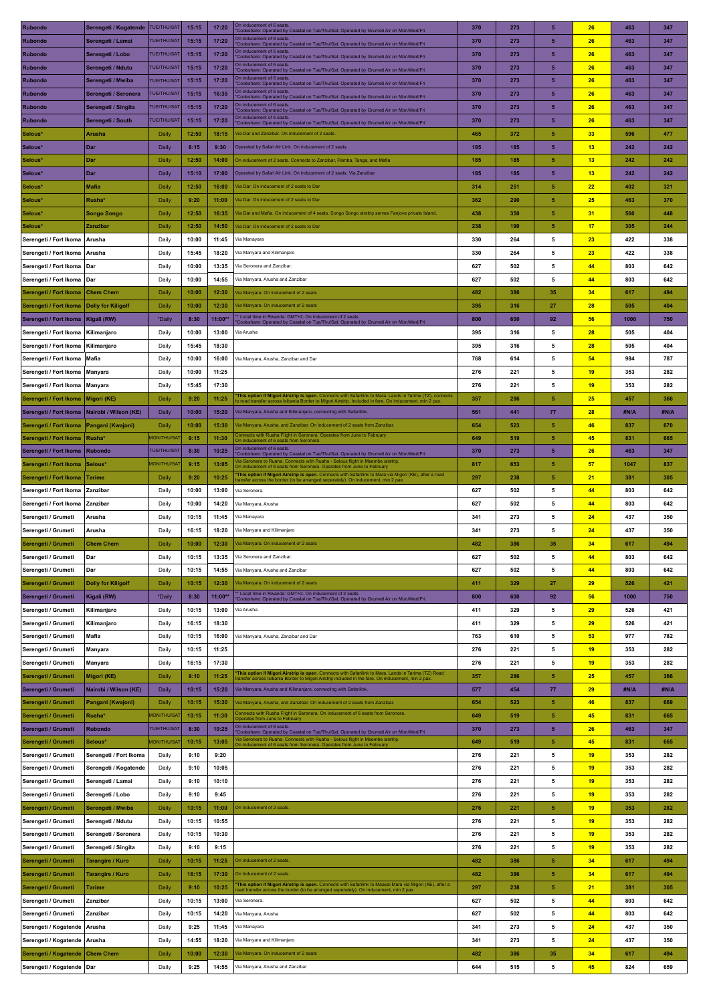| Rubondo                | Serengeti / Kogatende     | <b>TUE/THU/SAT</b> | 15:15 | 17:20   | On inducement of 6 seats<br>Codeshare: Operated by Coastal on Tue/Thu/Sat. Operated by Grumeti Air on Mon/Wed/Fri                                                                                  | 370 | 273 | 5                       | 26              | 463  | 347  |
|------------------------|---------------------------|--------------------|-------|---------|----------------------------------------------------------------------------------------------------------------------------------------------------------------------------------------------------|-----|-----|-------------------------|-----------------|------|------|
| Rubondo                | Serengeti / Lamai         | <b>TUE/THU/SAT</b> | 15:15 | 17:20   | On inducement of 6 seats<br>Codeshare: Operated by Coastal on Tue/Thu/Sat. Operated by Grumeti Air on Mon/Wed/Fri                                                                                  | 370 | 273 | 5                       | 26              | 463  | 347  |
| <b>Rubondo</b>         | Serengeti / Lobo          | <b>TUE/THU/SAT</b> | 15:15 | 17:20   | On inducement of 6 seats                                                                                                                                                                           | 370 | 273 | 5                       | 26              | 463  | 347  |
| <b>Rubondo</b>         | Serengeti / Ndutu         | <b>TUE/THU/SAT</b> | 15:15 | 17:20   | Codeshare: Operated by Coastal on Tue/Thu/Sat. Operated by Grumeti Air on Mon/Wed/Fri<br>On inducement of 6 seats.                                                                                 | 370 | 273 | 5                       | 26              | 463  | 347  |
|                        |                           | <b>TUE/THU/SAT</b> |       |         | Codeshare: Operated by Coastal on Tue/Thu/Sat. Operated by Grumeti Air on Mon/Wed/Fri<br>On inducement of 6 seats                                                                                  |     |     | $\overline{5}$          |                 |      |      |
| <b>Rubondo</b>         | Serengeti / Mwiba         |                    | 15:15 | 17:20   | Codeshare: Operated by Coastal on Tue/Thu/Sat. Operated by Grumeti Air on Mon/Wed/Fri<br>On inducement of 6 seats                                                                                  | 370 | 273 |                         | 26              | 463  | 347  |
| <b>Rubondo</b>         | Serengeti / Seronera      | <b>TUE/THU/SAT</b> | 15:15 | 16:35   | Codeshare: Operated by Coastal on Tue/Thu/Sat. Operated by Grumeti Air on Mon/Wed/Fri<br>On inducement of 6 seats                                                                                  | 370 | 273 | 5                       | 26              | 463  | 347  |
| Rubondo                | Serengeti / Singita       | <b>TUE/THU/SAT</b> | 15:15 | 17:20   | Codeshare: Operated by Coastal on Tue/Thu/Sat. Operated by Grumeti Air on Mon/Wed/Fri                                                                                                              | 370 | 273 | 5                       | 26              | 463  | 347  |
| <b>Rubondo</b>         | Serengeti / South         | <b>TUE/THU/SAT</b> | 15:15 | 17:20   | In inducement of 6 seats<br>Codeshare: Operated by Coastal on Tue/Thu/Sat. Operated by Grumeti Air on Mon/Wed/Fri                                                                                  | 370 | 273 | 5                       | 26              | 463  | 347  |
| Selous*                | Arusha                    | Daily              | 12:50 | 18:15   | /ia Dar and Zanzibar. On inducement of 2 seats.                                                                                                                                                    | 465 | 372 | 5                       | 33 <sub>o</sub> | 596  | 477  |
| Selous*                | Dar                       | Daily              | 8:15  | 9:30    | Operated by Safari Air Link On inducement of 2 seats                                                                                                                                               | 185 | 185 | 5                       | 13              | 242  | 242  |
| Selous*                | Dar                       | Daily              | 12:50 | 14:00   | On inducement of 2 seats. Connects to Zanzibar, Pemba, Tanga, and Mafia                                                                                                                            | 185 | 185 | 5                       | 13              | 242  | 242  |
| Selous*                | Dar                       | Daily              | 15:10 | 17:00   | Operated by Safari Air Link. On inducement of 2 seats. Via Zanzibar                                                                                                                                | 185 | 185 | 5                       | 13              | 242  | 242  |
| Selous*                | Mafia                     | Daily              | 12:50 | 16:00   | Via Dar. On inducement of 2 seats to Dar                                                                                                                                                           | 314 | 251 | 5                       | 22              | 402  | 321  |
| Selous*                | Ruaha*                    |                    | 9:20  | 11:00   | Via Dar. On inducement of 2 seats to Dar                                                                                                                                                           | 362 | 290 | 5                       | 25              | 463  | 370  |
|                        |                           | Daily              |       |         |                                                                                                                                                                                                    |     |     |                         |                 |      |      |
| Selous*                | <b>Songo Songo</b>        | Daily              | 12:50 | 16:35   | Via Dar and Mafia. On inducement of 4 seats. Songo Songo airstrip serves Fanjove private Island.                                                                                                   | 438 | 350 | 5                       | 31              | 560  | 448  |
| Selous*                | Zanzibar                  | Daily              | 12:50 | 14:50   | Via Dar. On inducement of 2 seats to Dar                                                                                                                                                           | 238 | 190 | 5                       | 17              | 305  | 244  |
| Serengeti / Fort Ikoma | Arusha                    | Daily              | 10:00 | 11:45   | Via Manayara                                                                                                                                                                                       | 330 | 264 | 5                       | 23              | 422  | 338  |
| Serengeti / Fort Ikoma | Arusha                    | Daily              | 15:45 | 18:20   | Via Manyara and Kilimanjaro                                                                                                                                                                        | 330 | 264 | 5                       | 23              | 422  | 338  |
| Serengeti / Fort Ikoma | l Dar                     | Daily              | 10:00 | 13:35   | Via Seronera and Zanzibar.                                                                                                                                                                         | 627 | 502 | 5                       | 44              | 803  | 642  |
| Serengeti / Fort Ikoma | Dar                       | Daily              | 10:00 | 14:55   | Via Manyara, Arusha and Zanzibar                                                                                                                                                                   | 627 | 502 | 5                       | 44              | 803  | 642  |
| Serengeti / Fort Ikoma | <b>Chem Chem</b>          | Daily              | 10:00 | 12:30   | Via Manyara. On inducement of 2 seats                                                                                                                                                              | 482 | 386 | 35                      | 34              | 617  | 494  |
| Serengeti / Fort Ikoma | <b>Dolly for Kiligolf</b> | Daily              | 10:00 | 12:30   | Via Manyara, On inducement of 2 seats                                                                                                                                                              | 395 | 316 | 27                      | 28              | 505  | 404  |
| Serengeti / Fort Ikoma | Kigali (RW)               | *Daily             | 8:30  | 11:00** | Local time in Rwanda: GMT+2. On inducement of 2 seats.                                                                                                                                             | 800 | 600 | 92                      | 56              | 1000 | 750  |
|                        |                           |                    |       |         | Codeshare: Operated by Coastal on Tue/Thu/Sat. Operated by Grumeti Air on Mon/Wed/Fri                                                                                                              |     |     |                         |                 |      |      |
| Serengeti / Fort Ikoma | Kilimaniaro               | Daily              | 10:00 | 13:00   | Via Arusha                                                                                                                                                                                         | 395 | 316 | 5                       | 28              | 505  | 404  |
| Serengeti / Fort Ikoma | Kilimanjaro               | Daily              | 15:45 | 18:30   |                                                                                                                                                                                                    | 395 | 316 | 5                       | 28              | 505  | 404  |
| Serengeti / Fort Ikoma | <b>Mafia</b>              | Daily              | 10:00 | 16:00   | Via Manyara, Arusha, Zanzibar and Dar                                                                                                                                                              | 768 | 614 | 5                       | 54              | 984  | 787  |
| Serengeti / Fort Ikoma | Manyara                   | Daily              | 10:00 | 11:25   |                                                                                                                                                                                                    | 276 | 221 | 5                       | 19              | 353  | 282  |
| Serengeti / Fort Ikoma | <b>Manyara</b>            | Daily              | 15:45 | 17:30   |                                                                                                                                                                                                    | 276 | 221 | 5                       | 19              | 353  | 282  |
| Serengeti / Fort Ikoma | Migori (KE)               | Daily              | 9:20  | 11:25   | This option if Migori Airstrip is open. Connects with Safarilink to Mara. Lands in Tarime (TZ), connects<br>Isibania Border to Migori Airstrip. Included in fare. On inducement, min 2 pay         | 357 | 286 | 5                       | 25              | 457  | 366  |
| Serengeti / Fort Ikoma | Nairobi / Wilson (KE)     | Daily              | 10:00 | 15:20   | Via Manyara, Arusha and Kilimanjaro, connecting with Safarilink.                                                                                                                                   | 561 | 441 | 77                      | 28              | #N/A | #N/A |
| Serengeti / Fort Ikoma | Pangani (Kwajoni)         | Daily              | 10:00 | 15:30   | Via Manyara, Arusha, and Zanzibar. On inducement of 2 seats from Zanzibar.                                                                                                                         | 654 | 523 | 5                       | 46              | 837  | 670  |
| Serengeti / Fort Ikoma | Ruaha <sup>®</sup>        | <b>MON/THU/SA</b>  | 9:15  | 11:30   | onnects with Ruaha Flight in Seronera. Operates from June to February                                                                                                                              | 649 | 519 | 5                       | 45              | 831  | 665  |
| Serengeti / Fort Ikoma | <b>Rubondo</b>            | <b>TUE/THU/SAT</b> | 8:30  | 10:25   | In inducement of 6 seats from Seronera<br>On inducement of 6 seats.                                                                                                                                | 370 | 273 | 5                       | 26              | 463  | 347  |
|                        |                           | <b>MON/THU/SA</b>  | 9:15  | 13:05   | Codeshare: Operated by Coastal on Tue/Thu/Sat. Operated by Grumeti Air on Mon/Wed/Fri<br>la Seronera to Ruaha. Connects with Ruaha - Selous flight in Msembe airstric                              |     | 653 | 5                       | 57              |      |      |
| Serengeti / Fort Ikoma | Selous*                   |                    |       |         | On inducement of 6 seats from Seronera. Operates from June to February<br>This option if Migori Airstrip is open. Connects with Safarilink to Mara via Migori (KE), after a road                   | 817 |     | 5                       |                 | 1047 | 837  |
| Serengeti / Fort Ikoma | <b>Tarime</b>             | Daily              | 9:20  | 10:25   | er across the border (to be arranged seperately). On inducement, min 2 pax.                                                                                                                        | 297 | 238 |                         | 21              | 381  | 305  |
| Serengeti / Fort Ikoma | Zanzibar                  | Daily              | 10:00 | 13:00   | Via Seronera                                                                                                                                                                                       | 627 | 502 | 5                       | 44              | 803  | 642  |
| Serengeti / Fort Ikoma | Zanzibar                  | Daily              | 10:00 | 14:20   | Via Manyara, Arusha                                                                                                                                                                                | 627 | 502 | 5                       | 44              | 803  | 642  |
| Serengeti / Grumeti    | Arusha                    | Daily              | 10:15 | 11:45   | Via Manayara                                                                                                                                                                                       | 341 | 273 | 5                       | 24              | 437  | 350  |
| Serengeti / Grumeti    | Arusha                    | Daily              | 16:15 | 18:20   | Via Manyara and Kilimanjaro                                                                                                                                                                        | 341 | 273 | 5                       | 24              | 437  | 350  |
| Serengeti / Grumeti    | <b>Chem Chem</b>          | Daily              | 10:00 | 12:30   | Via Manyara. On inducement of 2 seats                                                                                                                                                              | 482 | 386 | 35                      | 34              | 617  | 494  |
| Serengeti / Grumeti    | Dar                       | Daily              | 10:15 | 13:35   | Via Seronera and Zanzibar.                                                                                                                                                                         | 627 | 502 | 5                       | 44              | 803  | 642  |
| Serengeti / Grumeti    | Dar                       | Daily              | 10:15 | 14:55   | Via Manyara, Arusha and Zanzibar                                                                                                                                                                   | 627 | 502 | 5                       | 44              | 803  | 642  |
| Serengeti / Grumeti    | <b>Dolly for Kiligolf</b> | Daily              | 10:15 | 12:30   | Via Manyara. On inducement of 2 seats                                                                                                                                                              | 411 | 329 | 27                      | 29              | 526  | 421  |
| Serengeti / Grumeti    | Kigali (RW)               | *Daily             | 8:30  | 11:00** | Local time in Rwanda: GMT+2. On inducement of 2 seats.<br>Codeshare: Operated by Coastal on Tue/Thu/Sat. Operated by Grumeti Air on Mon/Wed/Fri                                                    | 800 | 600 | 92                      | 56              | 1000 | 750  |
| Serengeti / Grumeti    | Kilimanjaro               | Daily              | 10:15 | 13:00   | Via Arusha                                                                                                                                                                                         | 411 | 329 | 5                       | 29              | 526  | 421  |
| Serengeti / Grumeti    | Kilimanjaro               | Daily              | 16:15 | 18:30   |                                                                                                                                                                                                    | 411 | 329 | 5                       | 29              | 526  | 421  |
|                        |                           |                    |       |         |                                                                                                                                                                                                    |     |     |                         |                 |      |      |
| Serengeti / Grumeti    | Mafia                     | Daily              | 10:15 | 16:00   | Via Manyara, Arusha, Zanzibar and Dar                                                                                                                                                              | 763 | 610 | 5                       | 53              | 977  | 782  |
| Serengeti / Grumeti    | Manyara                   | Daily              | 10:15 | 11:25   |                                                                                                                                                                                                    | 276 | 221 | 5                       | 19              | 353  | 282  |
| Serengeti / Grumeti    | Manyara                   | Daily              | 16:15 | 17:30   | This option if Migori Airstrip is open. Connects with Safarilink to Mara. Lands in Tarime (TZ) Road                                                                                                | 276 | 221 | 5                       | 19              | 353  | 282  |
| Serengeti / Grumeti    | Migori (KE)               | Daily              | 9:10  | 11:25   | ansfer across Isibania Border to Migori Airstrip included in the fare. On inducement, min 2 pax                                                                                                    | 357 | 286 | 5                       | 25              | 457  | 366  |
| Serengeti / Grumeti    | Nairobi / Wilson (KE)     | <b>Daily</b>       | 10:15 | 15:20   | Via Manyara, Arusha and Kilimanjaro, connecting with Safarilink.                                                                                                                                   | 577 | 454 | 77                      | 29              | #N/A | #N/A |
| Serengeti / Grumeti    | Pangani (Kwajoni)         | Daily              | 10:15 | 15:30   | Via Manyara, Arusha, and Zanzibar. On inducement of 2 seats from Zanzibar.                                                                                                                         | 654 | 523 | 5                       | 46              | 837  | 669  |
| Serengeti / Grumeti    |                           |                    |       |         |                                                                                                                                                                                                    |     |     |                         |                 |      | 665  |
| Serengeti / Grumeti    | Ruaha*                    | <b>MON/THU/SA</b>  | 10:15 | 11:30   | connects with Ruaha Flight in Seronera. On inducement of 6 seats from Seronera.<br>Operates from June to February                                                                                  | 649 | 519 | 5                       | 45              | 831  |      |
|                        | <b>Rubondo</b>            | <b>TUE/THU/SAT</b> | 8:30  | 10:25   | On inducement of 6 seats<br>Codeshare: Operated by Coastal on Tue/Thu/Sat. Operated by Grumeti Air on Mon/Wed/Fri                                                                                  | 370 | 273 | $\overline{\mathbf{5}}$ | 26              | 463  | 347  |
| Serengeti / Grumeti    | Selous*                   | <b>MON/THU/SA</b>  | 10:15 | 13:05   | la Seronera to Ruaha. Connects with Ruaha - Selous flight in Msembe airstrip.<br>On inducement of 6 seats from Seronera. Operates from June to February                                            | 649 | 519 | 5                       | 45              | 831  | 665  |
| Serengeti / Grumeti    | Serengeti / Fort Ikoma    | Daily              | 9:10  | 9:20    |                                                                                                                                                                                                    | 276 | 221 | 5                       | 19              | 353  | 282  |
| Serengeti / Grumeti    | Serengeti / Kogatende     | Daily              | 9:10  | 10:05   |                                                                                                                                                                                                    | 276 | 221 | 5                       | 19              | 353  | 282  |
| Serengeti / Grumeti    | Serengeti / Lamai         | Daily              | 9:10  | 10:10   |                                                                                                                                                                                                    | 276 | 221 | 5                       | 19              | 353  | 282  |
| Serengeti / Grumeti    | Serengeti / Lobo          | Daily              | 9:10  | 9:45    |                                                                                                                                                                                                    | 276 | 221 | 5                       | 19              | 353  | 282  |
|                        |                           |                    |       |         | On Inducement of 2 seats.                                                                                                                                                                          | 276 | 221 | 5                       | 19              | 353  | 282  |
| Serengeti / Grumeti    | Serengeti / Mwiba         | Daily              | 10:15 | 11:00   |                                                                                                                                                                                                    |     |     | 5                       |                 |      |      |
| Serengeti / Grumeti    | Serengeti / Ndutu         | Daily              | 10:15 | 10:55   |                                                                                                                                                                                                    | 276 | 221 |                         | 19              | 353  | 282  |
| Serengeti / Grumeti    | Serengeti / Seronera      | Daily              | 10:15 | 10:30   |                                                                                                                                                                                                    | 276 | 221 | 5                       | 19              | 353  | 282  |
| Serengeti / Grumeti    | Serengeti / Singita       | Daily              | 9:10  | 9:15    |                                                                                                                                                                                                    | 276 | 221 | 5                       | 19              | 353  | 282  |
| Serengeti / Grumeti    | <b>Tarangire / Kuro</b>   | Daily              | 10:15 | 11:25   | On Inducement of 2 seats.                                                                                                                                                                          | 482 | 386 | 5                       | 34              | 617  | 494  |
| Serengeti / Grumeti    | Tarangire / Kuro          | Daily              | 16:15 | 17:30   | On Inducement of 2 seats.                                                                                                                                                                          | 482 | 386 | 5                       | 34              | 617  | 494  |
| Serengeti / Grumeti    | Tarime                    | Daily              | 9:10  | 10:25   | This option if Migori Airstrip is open. Connects with Safarilink to Maasai Mara via Migori (KE), after a<br>road transfer across the border (to be arranged seperately). On inducement, min 2 pax. | 297 | 238 | 5                       | 21              | 381  | 305  |
| Serengeti / Grumeti    | Zanzibar                  | Daily              | 10:15 | 13:00   | Via Seronera.                                                                                                                                                                                      | 627 | 502 | 5                       | 44              | 803  | 642  |
| Serengeti / Grumeti    | Zanzibar                  | Daily              | 10:15 | 14:20   | Via Manyara, Arusha                                                                                                                                                                                | 627 | 502 | 5                       | 44              | 803  | 642  |
| Serengeti / Kogatende  | Arusha                    | Daily              | 9:25  | 11:45   | Via Manayara                                                                                                                                                                                       | 341 | 273 | 5                       | 24              | 437  | 350  |
| Serengeti / Kogatende  | Arusha                    | Daily              | 14:55 | 18:20   | Via Manyara and Kilimanjaro                                                                                                                                                                        | 341 | 273 | 5                       | 24              | 437  | 350  |
| Serengeti / Kogatende  | <b>Chem Chem</b>          | Daily              | 10:00 | 12:30   | Via Manyara. On inducement of 2 seats                                                                                                                                                              | 482 | 386 | 35                      | 34              | 617  | 494  |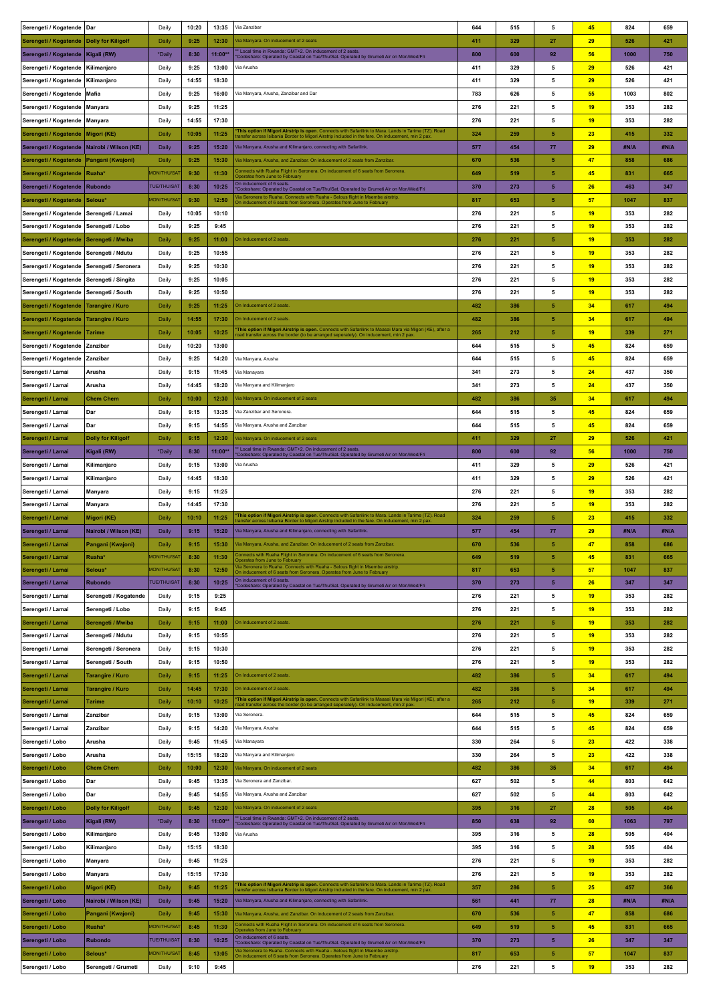| Serengeti / Kogatende                      | Dar                                       | Daily                    | 10:20        | 13:35          | Via Zanzibar                                                                                                                                                                                              | 644        | 515        | 5          | 45              | 824         | 659        |
|--------------------------------------------|-------------------------------------------|--------------------------|--------------|----------------|-----------------------------------------------------------------------------------------------------------------------------------------------------------------------------------------------------------|------------|------------|------------|-----------------|-------------|------------|
| Serengeti / Kogatende   Dolly for Kiligolf |                                           | Daily                    | 9:25         | 12:30          | /ia Manyara. On inducement of 2 seats                                                                                                                                                                     | 411        | 329        | 27         | 29              | 526         | 421        |
| Serengeti / Kogatende                      | Kigali (RW)                               | *Daily                   | 8:30         | 11:00*         | Local time in Rwanda: GMT+2. On inducement of 2 seats<br>Codeshare: Operated by Coastal on Tue/Thu/Sat. Operated by Grumeti Air on Mon/Wed/Fri                                                            | 800        | 600        | 92         | 56              | 1000        | 750        |
| Serengeti / Kogatende                      | Kilimanjaro                               | Daily                    | 9:25         | 13:00          | /ia Arusha                                                                                                                                                                                                | 411        | 329        | 5          | 29              | 526         | 421        |
| Serengeti / Kogatende                      | Kilimanjaro                               | Daily                    | 14:55        | 18:30          |                                                                                                                                                                                                           | 411        | 329        | 5          | 29              | 526         | 421        |
| Serengeti / Kogatende                      | Mafia                                     | Daily                    | 9:25         | 16:00          | /ia Manyara, Arusha, Zanzibar and Dar                                                                                                                                                                     | 783        | 626        | 5          | 55              | 1003        | 802        |
| Serengeti / Kogatende                      | Manyara                                   | Daily                    | 9:25         | 11:25          |                                                                                                                                                                                                           | 276        | 221        | 5          | 19              | 353         | 282        |
| Serengeti / Kogatende                      | Manyara                                   | Daily                    | 14:55        | 17:30          |                                                                                                                                                                                                           | 276        | 221        | 5          | 19              | 353         | 282        |
| Serengeti / Kogatende                      | Migori (KE)                               | Daily                    | 10:05        | 11:25          | This option if Migori Airstrip is open. Connects with Safarilink to Mara. Lands in Tarime (TZ). Road<br>ransfer across Isibania Border to Migori Airstrip included in the fare. On inducement, min 2 pax. | 324        | 259        | 5          | 23              | 415         | 332        |
| Serengeti / Kogatende                      | Nairobi / Wilson (KE)                     | <b>Daily</b>             | 9:25         | 15:20          | /ia Manyara, Arusha and Kilimanjaro, connecting with Safarilink.                                                                                                                                          | 577        | 454        | 77         | 29              | #N/A        | #N/A       |
| Serengeti / Kogatende                      | Pangani (Kwajoni)                         | Daily                    | 9:25         | 15:30          | /ia Manyara, Arusha, and Zanzibar. On inducement of 2 seats from Zanzibar.                                                                                                                                | 670        | 536        | 5          | 47              | 858         | 686        |
| Serengeti / Kogatende                      | Ruaha*                                    | <b>MON/THU/SAT</b>       | 9:30         | 11:30          | Connects with Ruaha Flight in Seronera. On inducement of 6 seats from Seronera.                                                                                                                           | 649        | 519        | 5          | 45              | 831         | 665        |
|                                            | <b>Rubondo</b>                            | <b>TUE/THU/SAT</b>       | 8:30         | 10:25          | berates from June to Februar<br>On inducement of 6 seats                                                                                                                                                  | 370        | 273        | $\sqrt{5}$ | 26              | 463         | 347        |
| Serengeti / Kogatende                      |                                           | <b>MON/THU/SAT</b>       |              |                | Codeshare: Operated by Coastal on Tue/Thu/Sat. Operated by Grumeti Air on Mon/Wed/Fri<br>la Seronera to Ruaha. Connects with Ruaha - Selous flight in Msembe airstrip                                     |            |            |            |                 |             |            |
| Serengeti / Kogatende                      | Selous*                                   |                          | 9:30         | 12:50          | On inducement of 6 seats from Seronera. Operates from June to February                                                                                                                                    | 817        | 653        | 5          | 57              | 1047        | 837        |
| Serengeti / Kogatende                      | Serengeti / Lamai                         | Daily                    | 10:05        | 10:10          |                                                                                                                                                                                                           | 276        | 221        | 5          | 19              | 353         | 282        |
| Serengeti / Kogatende   Serengeti / Lobo   |                                           | Daily                    | 9:25         | 9:45           |                                                                                                                                                                                                           | 276        | 221        | 5          | 19              | 353         | 282        |
| Serengeti / Kogatende   Serengeti / Mwiba  |                                           | Daily                    | 9:25         | 11:00          | On Inducement of 2 seats                                                                                                                                                                                  | 276        | 221        | 5          | 19              | 353         | 282        |
| Serengeti / Kogatende                      | Serengeti / Ndutu                         | Daily                    | 9:25         | 10:55          |                                                                                                                                                                                                           | 276        | 221        | 5          | 19              | 353         | 282        |
| Serengeti / Kogatende                      | Serengeti / Seronera                      | Daily                    | 9:25         | 10:30          |                                                                                                                                                                                                           | 276        | 221        | 5          | 19              | 353         | 282        |
| Serengeti / Kogatende                      | Serengeti / Singita                       | Daily                    | 9:25         | 10:05          |                                                                                                                                                                                                           | 276        | 221        | 5          | 19              | 353         | 282        |
| Serengeti / Kogatende                      | Serengeti / South                         | Daily                    | 9:25         | 10:50          |                                                                                                                                                                                                           | 276        | 221        | 5          | 19              | 353         | 282        |
| Serengeti / Kogatende                      | Tarangire / Kuro                          | Daily                    | 9:25         | 11:25          | On Inducement of 2 seats                                                                                                                                                                                  | 482        | 386        | ${\bf 5}$  | 34              | 617         | 494        |
| Serengeti / Kogatende                      | Tarangire / Kuro                          | Daily                    | 14:55        | 17:30          | On Inducement of 2 seats                                                                                                                                                                                  | 482        | 386        | 5          | 34              | 617         | 494        |
| Serengeti / Kogatende                      | Tarime                                    | Daily                    | 10:05        | 10:25          | This option if Migori Airstrip is open. Connects with Safarilink to Maasai Mara via Migori (KE), after a<br>bad transfer across the border (to be arranged seperately). On inducement, min 2 pax.         | 265        | 212        | 5          | 19              | 339         | 271        |
| Serengeti / Kogatende                      | Zanzibar                                  | Daily                    | 10:20        | 13:00          |                                                                                                                                                                                                           | 644        | 515        | 5          | 45              | 824         | 659        |
| Serengeti / Kogatende                      | Zanzibar                                  | Daily                    | 9:25         | 14:20          | /ia Manyara, Arusha                                                                                                                                                                                       | 644        | 515        | 5          | 45              | 824         | 659        |
| Serengeti / Lamai                          | Arusha                                    | Daily                    | 9:15         | 11:45          | Via Manayara                                                                                                                                                                                              | 341        | 273        | 5          | 24              | 437         | 350        |
| Serengeti / Lamai                          | Arusha                                    | Daily                    | 14:45        | 18:20          | Via Manyara and Kilimanjaro                                                                                                                                                                               | 341        | 273        | 5          | 24              | 437         | 350        |
| Serengeti / Lamai                          | <b>Chem Chem</b>                          | Daily                    | 10:00        | 12:30          | /ia Manyara. On inducement of 2 seats                                                                                                                                                                     | 482        | 386        | 35         | 34              | 617         | 494        |
| Serengeti / Lamai                          | Dar                                       | Daily                    | 9:15         | 13:35          | Via Zanzibar and Seronera                                                                                                                                                                                 | 644        | 515        | 5          | 45              | 824         | 659        |
| Serengeti / Lamai                          | Dar                                       | Daily                    | 9:15         | 14:55          | Via Manyara, Arusha and Zanzibar                                                                                                                                                                          | 644        | 515        | 5          | 45              | 824         | 659        |
| Serengeti / Lamai                          | <b>Dolly for Kiligolf</b>                 | Daily                    | 9:15         | 12:30          | /ia Manyara, On inducement of 2 seats                                                                                                                                                                     | 411        | 329        | 27         | 29              | 526         | 421        |
| Serengeti / Lamai                          | Kigali (RW)                               | *Daily                   | 8:30         | 11:00*         | * Local time in Rwanda: GMT+2. On inducement of 2 seats.<br>'Codeshare: Operated by Coastal on Tue/Thu/Sat. Operated by Grumeti Air on Mon/Wed/Fri                                                        | 800        | 600        | 92         | 56              | 1000        | 750        |
| Serengeti / Lamai                          | Kilimanjaro                               | Daily                    | 9:15         | 13:00          | Via Arusha                                                                                                                                                                                                | 411        | 329        | 5          | 29              | 526         | 421        |
| Serengeti / Lamai                          | Kilimanjaro                               | Daily                    | 14:45        | 18:30          |                                                                                                                                                                                                           | 411        | 329        | 5          | 29              | 526         | 421        |
| Serengeti / Lamai                          | Manyara                                   | Daily                    | 9:15         | 11:25          |                                                                                                                                                                                                           | 276        | 221        | 5          | 19              | 353         | 282        |
| Serengeti / Lamai                          | Manyara                                   | Daily                    | 14:45        | 17:30          |                                                                                                                                                                                                           | 276        | 221        | 5          | 19              | 353         | 282        |
| Serengeti / Lamai                          | Migori (KE)                               | Daily                    | 10:10        | 11:25          | This option if Migori Airstrip is open. Connects with Safarilink to Mara. Lands in Tarime (TZ). Road                                                                                                      | 324        | 259        | 5          | 23              | 415         | 332        |
| Serengeti / Lamai                          | Nairobi / Wilson (KE)                     | Daily                    | 9:15         | 15:20          | ansfer across Isibania Border to Migori Airstrip included in the fare. On inducement, min 2 pax<br>/ia Manyara, Arusha and Kilimanjaro, connecting with Safarilink.                                       | 577        | 454        | 77         | 29              | #N/A        | #N/A       |
|                                            |                                           | Daily                    | 9:15         | 15:30          | la Manyara, Arusha, and Zanzibar. On inducement of 2 seats from Zanzibar.                                                                                                                                 | 670        | 536        | 5          | 47              | 858         | 686        |
| Serengeti / Lamai                          | Pangani (Kwajoni)                         | <b><i>ION/THU/SA</i></b> | 8:30         |                |                                                                                                                                                                                                           | 649        |            | 5          |                 |             |            |
| Serengeti / Lamai<br>Serengeti / Lamai     | Ruaha*<br>Selous*                         | <b>MON/THU/SAT</b>       | 8:30         | 11:30<br>12:50 | Operates from June to February<br>lia Seronera to Ruaha. Connects with Ruaha - Selous flight in Msembe airstrip.                                                                                          | 817        | 519<br>653 | 5          | 45<br>57        | 831<br>1047 | 665<br>837 |
| Serengeti / Lamai                          | <b>Rubondo</b>                            | <b>TUE/THU/SAT</b>       | 8:30         | 10:25          | On inducement of 6 seats from Seronera. Operates from June to February<br>On inducement of 6 seats.                                                                                                       | 370        | 273        | $\sqrt{5}$ | 26              | 347         | 347        |
|                                            |                                           |                          |              | 9:25           | Codeshare: Operated by Coastal on Tue/Thu/Sat. Operated by Grumeti Air on Mon/Wed/Fri                                                                                                                     |            | 221        | 5          | 19              |             | 282        |
| Serengeti / Lamai                          | Serengeti / Kogatende<br>Serengeti / Lobo | Daily                    | 9:15<br>9:15 | 9:45           |                                                                                                                                                                                                           | 276<br>276 | 221        | 5          | 19              | 353<br>353  | 282        |
| Serengeti / Lamai                          |                                           | Daily                    |              |                | On Inducement of 2 seats                                                                                                                                                                                  |            |            |            |                 |             |            |
| Serengeti / Lamai                          | Serengeti / Mwiba                         | Daily                    | 9:15         | 11:00          |                                                                                                                                                                                                           | 276        | 221        | 5<br>5     | 19              | 353         | 282        |
| Serengeti / Lamai                          | Serengeti / Ndutu                         | Daily                    | 9:15         | 10:55          |                                                                                                                                                                                                           | 276        | 221        |            | 19              | 353         | 282        |
| Serengeti / Lamai                          | Serengeti / Seronera                      | Daily                    | 9:15         | 10:30          |                                                                                                                                                                                                           | 276        | 221        | 5          | 19              | 353         | 282        |
| Serengeti / Lamai                          | Serengeti / South                         | Daily                    | 9:15         | 10:50          |                                                                                                                                                                                                           | 276        | 221        | 5          | 19              | 353         | 282        |
| Serengeti / Lamai                          | <b>Tarangire / Kuro</b>                   | Daily                    | 9:15         | 11:25          | On Inducement of 2 seats.                                                                                                                                                                                 | 482        | 386        | 5          | 34              | 617         | 494        |
| Serengeti / Lamai                          | <b>Tarangire / Kuro</b>                   | Daily                    | 14:45        | 17:30          | On Inducement of 2 seats.<br>This option if Migori Airstrip is open. Connects with Safarilink to Maasai Mara via Migori (KE), after a                                                                     | 482        | 386        | 5          | 34              | 617         | 494        |
| Serengeti / Lamai                          | <b>Tarime</b>                             | Daily                    | 10:10        | 10:25          | the border (to be arranged seperately). On inducement, min 2 pax                                                                                                                                          | 265        | 212        | 5          | 19              | 339         | 271        |
| Serengeti / Lamai                          | Zanzibar                                  | Daily                    | 9:15         | 13:00          | Via Seronera.                                                                                                                                                                                             | 644        | 515        | 5          | 45              | 824         | 659        |
| Serengeti / Lamai                          | Zanzibar                                  | Daily                    | 9:15         | 14:20          | /ia Manyara, Arusha                                                                                                                                                                                       | 644        | 515        | 5          | 45 <sub>2</sub> | 824         | 659        |
| Serengeti / Lobo                           | Arusha                                    | Daily                    | 9:45         | 11:45          | /ia Manayara                                                                                                                                                                                              | 330        | 264        | 5          | 23              | 422         | 338        |
| Serengeti / Lobo                           | Arusha                                    | Daily                    | 15:15        | 18:20          | /ia Manyara and Kilimanjaro                                                                                                                                                                               | 330        | 264        | 5          | 23              | 422         | 338        |
| Serengeti / Lobo                           | <b>Chem Chem</b>                          | Daily                    | 10:00        | 12:30          | /ia Manyara. On inducement of 2 seats                                                                                                                                                                     | 482        | 386        | 35         | 34              | 617         | 494        |
| Serengeti / Lobo                           | Dar                                       | Daily                    | 9:45         | 13:35          | Via Seronera and Zanzibar.                                                                                                                                                                                | 627        | 502        | 5          | 44              | 803         | 642        |
| Serengeti / Lobo                           | Dar                                       | Daily                    | 9:45         | 14:55          | /ia Manyara, Arusha and Zanzibar                                                                                                                                                                          | 627        | 502        | 5          | 44              | 803         | 642        |
| Serengeti / Lobo                           | <b>Dolly for Kiligolf</b>                 | Daily                    | 9:45         | 12:30          | /ia Manyara. On inducement of 2 seats                                                                                                                                                                     | 395        | 316        | 27         | 28              | 505         | 404        |
| Serengeti / Lobo                           | Kigali (RW)                               | *Daily                   | 8:30         | 11:00*         | * Local time in Rwanda: GMT+2. On inducement of 2 seats.<br>Codeshare: Operated by Coastal on Tue/Thu/Sat. Operated by Grumeti Air on Mon/Wed/Fri                                                         | 850        | 638        | 92         | 60              | 1063        | 797        |
| Serengeti / Lobo                           | Kilimanjaro                               | Daily                    | 9:45         | 13:00          | /ia Arusha                                                                                                                                                                                                | 395        | 316        | 5          | 28              | 505         | 404        |
| Serengeti / Lobo                           | Kilimanjaro                               | Daily                    | 15:15        | 18:30          |                                                                                                                                                                                                           | 395        | 316        | 5          | 28              | 505         | 404        |
| Serengeti / Lobo                           | Manyara                                   | Daily                    | 9:45         | 11:25          |                                                                                                                                                                                                           | 276        | 221        | 5          | 19              | 353         | 282        |
| Serengeti / Lobo                           | Manyara                                   | Daily                    | 15:15        | 17:30          |                                                                                                                                                                                                           | 276        | 221        | 5          | 19              | 353         | 282        |
| Serengeti / Lobo                           | Migori (KE)                               | Daily                    | 9:45         | 11:25          | This option if Migori Airstrip is open. Connects with Safarilink to Mara. Lands in Tarime (TZ). Road<br>ransfer across Isibania Border to Migori Airstrip included in the fare. On inducement, min 2 pax. | 357        | 286        | 5          | 25              | 457         | 366        |
| Serengeti / Lobo                           | Nairobi / Wilson (KE)                     | Daily                    | 9:45         | 15:20          | Via Manyara, Arusha and Kilimanjaro, connecting with Safarilink.                                                                                                                                          | 561        | 441        | 77         | 28              | #N/A        | #N/A       |
| Serengeti / Lobo                           | Pangani (Kwajoni)                         | Daily                    | 9:45         | 15:30          | /ia Manyara, Arusha, and Zanzibar. On inducement of 2 seats from Zanzibar.                                                                                                                                | 670        | 536        | 5          | 47              | 858         | 686        |
| Serengeti / Lobo                           | Ruaha*                                    | <b>MON/THU/SAT</b>       | 8:45         | 11:30          | Connects with Ruaha Flight in Seronera. On inducement of 6 seats from Seronera.<br>Operates from June to February                                                                                         | 649        | 519        | 5          | 45              | 831         | 665        |
| Serengeti / Lobo                           | <b>Rubondo</b>                            | <b>TUE/THU/SAT</b>       | 8:30         | 10:25          | On inducement of 6 seats<br>Codeshare: Operated by Coastal on Tue/Thu/Sat. Operated by Grumeti Air on Mon/Wed/Fri                                                                                         | 370        | 273        | $\sqrt{5}$ | 26              | 347         | 347        |
| Serengeti / Lobo                           | Selous*                                   | <b>MON/THU/SAT</b>       | 8:45         | 13:05          | la Seronera to Ruaha. Connects with Ruaha - Selous flight in Msembe airstrip.<br>On inducement of 6 seats from Seronera. Operates from June to February                                                   | 817        | 653        | 5          | 57              | 1047        | 837        |
| Serengeti / Lobo                           | Serengeti / Grumeti                       | Daily                    | 9:10         | 9:45           |                                                                                                                                                                                                           | 276        | 221        | 5          | 19              | 353         | 282        |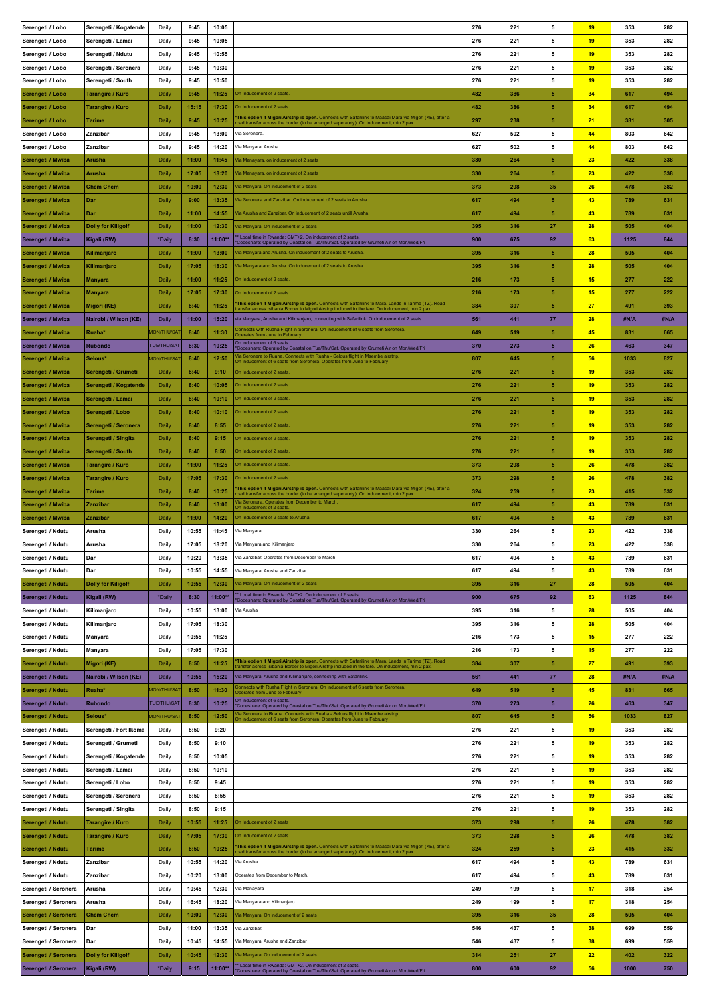| Serengeti / Lobo                             | Serengeti / Kogatende                    | Daily              | 9:45          | 10:05            |                                                                                                                                                                                                                                                                                 | 276        | 221        | 5         | 19       | 353         | 282        |
|----------------------------------------------|------------------------------------------|--------------------|---------------|------------------|---------------------------------------------------------------------------------------------------------------------------------------------------------------------------------------------------------------------------------------------------------------------------------|------------|------------|-----------|----------|-------------|------------|
| Serengeti / Lobo                             | Serengeti / Lamai                        | Daily              | 9:45          | 10:05            |                                                                                                                                                                                                                                                                                 | 276        | 221        | 5         | 19       | 353         | 282        |
| Serengeti / Lobo                             | Serengeti / Ndutu                        | Daily              | 9:45          | 10:55            |                                                                                                                                                                                                                                                                                 | 276        | 221        | 5         | 19       | 353         | 282        |
| Serengeti / Lobo                             | Serengeti / Seronera                     | Daily              | 9:45          | 10:30            |                                                                                                                                                                                                                                                                                 | 276        | 221        | 5         | 19       | 353         | 282        |
| Serengeti / Lobo                             | Serengeti / South                        | Daily              | 9:45          | 10:50            |                                                                                                                                                                                                                                                                                 | 276        | 221        | 5         | 19       | 353         | 282        |
| Serengeti / Lobo                             | Tarangire / Kuro                         | Daily              | 9:45          | 11:25            | On Inducement of 2 seats.                                                                                                                                                                                                                                                       | 482        | 386        | 5         | 34       | 617         | 494        |
| Serengeti / Lobo                             | Tarangire / Kuro                         | Daily              | 15:15         | 17:30            | On Inducement of 2 seats.                                                                                                                                                                                                                                                       | 482        | 386        | 5         | 34       | 617         | 494        |
| Serengeti / Lobo                             | <b>Tarime</b>                            | Daily              | 9:45          | 10:25            | This option if Migori Airstrip is open. Connects with Safarilink to Maasai Mara via Migori (KE), after a                                                                                                                                                                        | 297        | 238        | 5         | 21       | 381         | 305        |
| Serengeti / Lobo                             | Zanzibar                                 | Daily              | 9:45          | 13:00            | oad transfer across the border (to be arranged seperately). On inducement, min 2 pax<br>Via Seronera                                                                                                                                                                            | 627        | 502        | 5         | 44       | 803         | 642        |
| Serengeti / Lobo                             | Zanzibar                                 | Daily              | 9:45          | 14:20            | Via Manyara, Arusha                                                                                                                                                                                                                                                             | 627        | 502        | 5         | 44       | 803         | 642        |
| Serengeti / Mwiba                            | Arusha                                   | Daily              | 11:00         | 11:45            | Via Manayara, on inducement of 2 seats                                                                                                                                                                                                                                          | 330        | 264        | 5         | 23       | 422         | 338        |
| Serengeti / Mwiba                            | Arusha                                   | Daily              | 17:05         | 18:20            | /ia Manayara, on inducement of 2 seats                                                                                                                                                                                                                                          | 330        | 264        | 5         | 23       | 422         | 338        |
| Serengeti / Mwiba                            | <b>Chem Chem</b>                         | Daily              | 10:00         | 12:30            | Via Manyara. On inducement of 2 seats                                                                                                                                                                                                                                           | 373        | 298        | 35        | 26       | 478         | 382        |
| Serengeti / Mwiba                            | Dar                                      | Daily              | 9:00          | 13:35            | /ia Seronera and Zanzibar. On inducement of 2 seats to Arusha.                                                                                                                                                                                                                  | 617        | 494        | 5         | 43       | 789         | 631        |
| Serengeti / Mwiba                            | Dar                                      | Daily              | 11:00         | 14:55            | /ia Arusha and Zanzibar. On inducement of 2 seats untill Arusha.                                                                                                                                                                                                                | 617        | 494        | 5         | 43       | 789         | 631        |
|                                              |                                          |                    | 11:00         | 12:30            | Via Manyara. On inducement of 2 seats                                                                                                                                                                                                                                           | 395        | 316        | 27        | 28       | 505         | 404        |
| Serengeti / Mwiba                            | <b>Dolly for Kiligolf</b>                | Daily              |               |                  | Local time in Rwanda: GMT+2. On inducement of 2 seats.                                                                                                                                                                                                                          |            |            |           |          |             |            |
| Serengeti / Mwiba                            | Kigali (RW)                              | *Daily             | 8:30          | 11:00*           | Codeshare: Operated by Coastal on Tue/Thu/Sat. Operated by Grumeti Air on Mon/Wed/Fri<br>la Manyara and Arusha. On inducement of 2 seats to Arusha.                                                                                                                             | 900        | 675        | 92        | 63       | 1125        | 844        |
| Serengeti / Mwiba                            | Kilimanjaro                              | Daily              | 11:00         | 13:00            |                                                                                                                                                                                                                                                                                 | 395        | 316        | 5         | 28       | 505         | 404        |
| Serengeti / Mwiba                            | Kilimanjaro                              | Daily              | 17:05         | 18:30            | /ia Manyara and Arusha. On inducement of 2 seats to Arusha.                                                                                                                                                                                                                     | 395        | 316        | 5         | 28       | 505         | 404        |
| Serengeti / Mwiba                            | <b>Manyara</b>                           | Daily              | 11:00         | 11:25            | On Inducement of 2 seats.                                                                                                                                                                                                                                                       | 216        | 173        | 5         | 15       | 277         | 222        |
| Serengeti / Mwiba                            | Manyara                                  | Daily              | 17:05         | 17:30            | On Inducement of 2 seats.                                                                                                                                                                                                                                                       | 216        | 173        | 5         | 15       | 277         | 222        |
| Serengeti / Mwiba                            | Migori (KE)                              | Daily              | 8:40          | 11:25            | This option if Migori Airstrip is open. Connects with Safarilink to Mara. Lands in Tarime (TZ). Road<br>ransfer across Isibania Border to Migori Airstrip included in the fare. On inducement, min 2 pax.                                                                       | 384        | 307        | 5         | 27       | 491         | 393        |
| Serengeti / Mwiba                            | Nairobi / Wilson (KE)                    | Daily              | 11:00         | 15:20            | ia Manyara, Arusha and Kilimanjaro, connecting with Safarilink. On inducement of 2 seats.<br>connects with Ruaha Flight in Seronera. On inducement of 6 seats from Seronera.                                                                                                    | 561        | 441        | 77        | 28       | #N/A        | #N/A       |
| Serengeti / Mwiba                            | Ruaha*                                   | <b>ION/THU/SAT</b> | 8:40          | 11:30            | perates from June to Februar                                                                                                                                                                                                                                                    | 649        | 519        | 5         | 45       | 831         | 665        |
| Serengeti / Mwiba                            | <b>Rubondo</b>                           | <b>TUE/THU/SAT</b> | 8:30          | 10:25            | On inducement of 6 seats.<br>Codeshare: Operated by Coastal on Tue/Thu/Sat. Operated by Grumeti Air on Mon/Wed/Fri                                                                                                                                                              | 370        | 273        | 5         | 26       | 463         | 347        |
| Serengeti / Mwiba                            | Selous*                                  | <b>MON/THU/SAT</b> | 8:40          | 12:50            | la Seronera to Ruaha. Connects with Ruaha - Selous flight in Msembe airstrip<br>On inducement of 6 seats from Seronera. Operates from June to February                                                                                                                          | 807        | 645        | 5         | 56       | 1033        | 827        |
| Serengeti / Mwiba                            | Serengeti / Grumeti                      | Daily              | 8:40          | 9:10             | On Inducement of 2 seats.                                                                                                                                                                                                                                                       | 276        | 221        | 5         | 19       | 353         | 282        |
| Serengeti / Mwiba                            | Serengeti / Kogatende                    | Daily              | 8:40          | 10:05            | On Inducement of 2 seats.                                                                                                                                                                                                                                                       | 276        | 221        | 5         | 19       | 353         | 282        |
| Serengeti / Mwiba                            | Serengeti / Lamai                        | Daily              | 8:40          | 10:10            | On Inducement of 2 seats.                                                                                                                                                                                                                                                       | 276        | 221        | 5         | 19       | 353         | 282        |
| Serengeti / Mwiba                            | Serengeti / Lobo                         | Daily              | 8:40          | 10:10            | On Inducement of 2 seats.                                                                                                                                                                                                                                                       | 276        | 221        | 5         | 19       | 353         | 282        |
| Serengeti / Mwiba                            | Serengeti / Seronera                     | Daily              | 8:40          | 8:55             | On Inducement of 2 seats.                                                                                                                                                                                                                                                       | 276        | 221        | 5         | 19       | 353         | 282        |
| Serengeti / Mwiba                            | Serengeti / Singita                      | Daily              | 8:40          | 9:15             | On Inducement of 2 seats.                                                                                                                                                                                                                                                       | 276        | 221        | 5         | 19       | 353         | 282        |
| Serengeti / Mwiba                            | Serengeti / South                        | Daily              | 8:40          | 8:50             | On Inducement of 2 seats                                                                                                                                                                                                                                                        | 276        | 221        | 5         | 19       | 353         | 282        |
| Serengeti / Mwiba                            | Tarangire / Kuro                         | Daily              | 11:00         | 11:25            | On Inducement of 2 seats.                                                                                                                                                                                                                                                       | 373        | 298        | 5         | 26       | 478         | 382        |
| Serengeti / Mwiba                            | Tarangire / Kuro                         | Daily              | 17:05         | 17:30            | On Inducement of 2 seats.                                                                                                                                                                                                                                                       | 373        | 298        | 5         | 26       | 478         | 382        |
| Serengeti / Mwiba                            | Tarime                                   | Daily              | 8:40          | 10:25            | This option if Migori Airstrip is open. Connects with Safarilink to Maasai Mara via Migori (KE), after a<br>bad transfer across the border (to be arranged seperately). On inducement, min 2 pax                                                                                | 324        | 259        | 5         | 23       | 415         | 332        |
| Serengeti / Mwiba                            | Zanzibar                                 | Daily              | 8:40          | 13:00            | la Seronera. Operates from December to March<br>On inducement of 2 seats                                                                                                                                                                                                        | 617        | 494        | 5         | 43       | 789         | 631        |
| Serengeti / Mwiba                            | Zanzibar                                 | Daily              | 11:00         | 14:20            | On Inducement of 2 seats to Arusha.                                                                                                                                                                                                                                             | 617        | 494        | ${\bf 5}$ | 43       | 789         | 631        |
| Serengeti / Ndutu                            | Arusha                                   |                    |               | 11:45            | Via Manyara                                                                                                                                                                                                                                                                     | 330        | 264        | 5         |          |             | 338        |
|                                              |                                          | Daily              | 10:55         |                  |                                                                                                                                                                                                                                                                                 |            |            |           | 23       | 422         |            |
| Serengeti / Ndutu                            | Arusha                                   | Daily              | 17:05         | 18:20            | Via Manyara and Kilimanjaro                                                                                                                                                                                                                                                     | 330        | 264        | 5         | 23       | 422         | 338        |
| Serengeti / Ndutu                            | Dar                                      | Daily              | 10:20         | 13:35            | Via Zanzibar. Operates from December to March                                                                                                                                                                                                                                   | 617        | 494        | 5         | 43       | 789         | 631        |
| Serengeti / Ndutu                            | Dar                                      | Daily              | 10:55         | 14:55            | Via Manyara, Arusha and Zanzibar                                                                                                                                                                                                                                                | 617        | 494        | 5         | 43       | 789         | 631        |
| Serengeti / Ndutu                            | <b>Dolly for Kiligolf</b>                | Daily              | 10:55         | 12:30            | /ia Manyara. On inducement of 2 seats                                                                                                                                                                                                                                           | 395        | 316        | 27        | 28       | 505         | 404        |
| Serengeti / Ndutu                            | Kigali (RW)                              | *Daily             | 8:30          | 11:00**          | Local time in Rwanda: GMT+2. On inducement of 2 seats.                                                                                                                                                                                                                          | 900        | 675        | 92        | 63       | 1125        | 844        |
| Serengeti / Ndutu                            | Kilimanjaro                              | Daily              | 10:55         | 13:00            | Codeshare: Operated by Coastal on Tue/Thu/Sat. Operated by Grumeti Air on Mon/Wed/Fri<br>Via Arusha                                                                                                                                                                             | 395        | 316        | 5         | 28       | 505         | 404        |
| Serengeti / Ndutu                            | Kilimanjaro                              | Daily              | 17:05         | 18:30            |                                                                                                                                                                                                                                                                                 | 395        | 316        | 5         | 28       | 505         | 404        |
| Serengeti / Ndutu                            | <b>Manyara</b>                           | Daily              | 10:55         | 11:25            |                                                                                                                                                                                                                                                                                 | 216        | 173        | 5         | 15       | 277         | 222        |
| Serengeti / Ndutu                            | Manyara                                  | Daily              | 17:05         | 17:30            |                                                                                                                                                                                                                                                                                 | 216        | 173        | 5         | 15       | 277         | 222        |
| Serengeti / Ndutu                            | Migori (KE)                              | Daily              | 8:50          | 11:25            |                                                                                                                                                                                                                                                                                 | 384        | 307        | 5         | 27       | 491         | 393        |
| Serengeti / Ndutu                            | Nairobi / Wilson (KE)                    | Daily              | 10:55         | 15:20            | "This option if Migori Airstrip is open. Connects with Safarilink to Mara. Lands in Tarime (TZ). Road<br>transfer across Isibania Border to Migori Airstrip included in the fare. On inducement, min 2 pax.<br>Via Manyara, Arusha and Kilimanjaro, connecting with Safarilink. | 561        | 441        | 77        | 28       | #N/A        | #N/A       |
| Serengeti / Ndutu                            | Ruaha*                                   | <b>MON/THU/SAT</b> | 8:50          | 11:30            | Connects with Ruaha Flight in Seronera. On inducement of 6 seats from Seronera.                                                                                                                                                                                                 | 649        | 519        | 5         | 45       | 831         | 665        |
| Serengeti / Ndutu                            | <b>Rubondo</b>                           | <b>TUE/THU/SAT</b> | 8:30          | 10:25            | perates from June to Februar(<br>On inducement of 6 seats.                                                                                                                                                                                                                      | 370        | 273        | 5         | 26       | 463         | 347        |
| Serengeti / Ndutu                            | Selous*                                  | <b>MON/THU/SAT</b> | 8:50          | 12:50            | Codeshare: Operated by Coastal on Tue/Thu/Sat. Operated by Grumeti Air on Mon/Wed/Fri                                                                                                                                                                                           | 807        | 645        | 5         | 56       | 1033        | 827        |
| Serengeti / Ndutu                            | Serengeti / Fort Ikoma                   | Daily              | 8:50          | 9:20             | /ia Seronera to Ruaha. Connects with Ruaha - Selous flight in Msembe airstrip.<br>Dn inducement of 6 seats from Seronera. Operates from June to February                                                                                                                        | 276        | 221        | 5         | 19       | 353         | 282        |
|                                              |                                          |                    |               |                  |                                                                                                                                                                                                                                                                                 |            | 221        | 5         |          |             |            |
| Serengeti / Ndutu                            | Serengeti / Grumeti                      | Daily              | 8:50          | 9:10             |                                                                                                                                                                                                                                                                                 | 276<br>276 | 221        | 5         | 19<br>19 | 353<br>353  | 282<br>282 |
| Serengeti / Ndutu                            | Serengeti / Kogatende                    | Daily              | 8:50<br>8:50  | 10:05<br>10:10   |                                                                                                                                                                                                                                                                                 | 276        | 221        | 5         |          | 353         | 282        |
| Serengeti / Ndutu                            | Serengeti / Lamai                        | Daily              |               |                  |                                                                                                                                                                                                                                                                                 |            |            |           | 19       |             |            |
| Serengeti / Ndutu                            | Serengeti / Lobo                         | Daily              | 8:50          | 9:45             |                                                                                                                                                                                                                                                                                 | 276        | 221        | 5<br>5    | 19       | 353         | 282        |
| Serengeti / Ndutu                            | Serengeti / Seronera                     | Daily              | 8:50          | 8:55             |                                                                                                                                                                                                                                                                                 | 276        | 221        |           | 19       | 353         | 282        |
| Serengeti / Ndutu                            | Serengeti / Singita                      | Daily              | 8:50          | 9:15             |                                                                                                                                                                                                                                                                                 | 276        | 221        | 5         | 19       | 353         | 282        |
| Serengeti / Ndutu                            | Tarangire / Kuro                         | Daily              | 10:55         | 11:25            | On Inducement of 2 seats                                                                                                                                                                                                                                                        | 373        | 298        | 5         | 26       | 478         | 382        |
| Serengeti / Ndutu                            | Tarangire / Kuro                         | Daily              | 17:05         | 17:30            | On Inducement of 2 seats                                                                                                                                                                                                                                                        | 373        | 298        | 5         | 26       | 478         | 382        |
| Serengeti / Ndutu                            | Tarime                                   | Daily              | 8:50          | 10:25            | This option if Migori Airstrip is open. Connects with Safarilink to Maasai Mara via Migori (KE), after a<br>road transfer across the border (to be arranged seperately). On inducement, min 2 pax.                                                                              | 324        | 259        | 5         | 23       | 415         | 332        |
| Serengeti / Ndutu                            | Zanzibar                                 | Daily              | 10:55         | 14:20            | Via Arusha                                                                                                                                                                                                                                                                      | 617        | 494        | 5         | 43       | 789         | 631        |
| Serengeti / Ndutu                            | Zanzibar                                 | Daily              | 10:20         | 13:00            | Operates from December to March.                                                                                                                                                                                                                                                | 617        | 494        | 5         | 43       | 789         | 631        |
| Serengeti / Seronera                         | Arusha                                   | Daily              | 10:45         | 12:30            | Via Manayara                                                                                                                                                                                                                                                                    | 249        | 199        | 5         | 17       | 318         | 254        |
| Serengeti / Seronera                         | Arusha                                   | Daily              | 16:45         | 18:20            | Via Manyara and Kilimanjaro                                                                                                                                                                                                                                                     | 249        | 199        | 5         | 17       | 318         | 254        |
| Serengeti / Seronera                         | <b>Chem Chem</b>                         | Daily              | 10:00         | 12:30            | /ia Manyara. On inducement of 2 seats                                                                                                                                                                                                                                           | 395        | 316        | 35        | 28       | 505         | 404        |
| Serengeti / Seronera                         | Dar                                      | Daily              | 11:00         | 13:35            | Via Zanzibar.                                                                                                                                                                                                                                                                   | 546        | 437        | 5         | 38       | 699         | 559        |
| Serengeti / Seronera                         | Dar                                      | Daily              | 10:45         | 14:55            | Via Manyara, Arusha and Zanzibar                                                                                                                                                                                                                                                | 546        | 437        | 5         | 38       | 699         | 559        |
| Serengeti / Seronera<br>Serengeti / Seronera | <b>Dolly for Kiligolf</b><br>Kigali (RW) | Daily<br>*Daily    | 10:45<br>9:15 | 12:30<br>11:00** | /ia Manyara. On inducement of 2 seats<br>* Local time in Rwanda: GMT+2. On inducement of 2 seats.                                                                                                                                                                               | 314<br>800 | 251<br>600 | 27<br>92  | 22<br>56 | 402<br>1000 | 322<br>750 |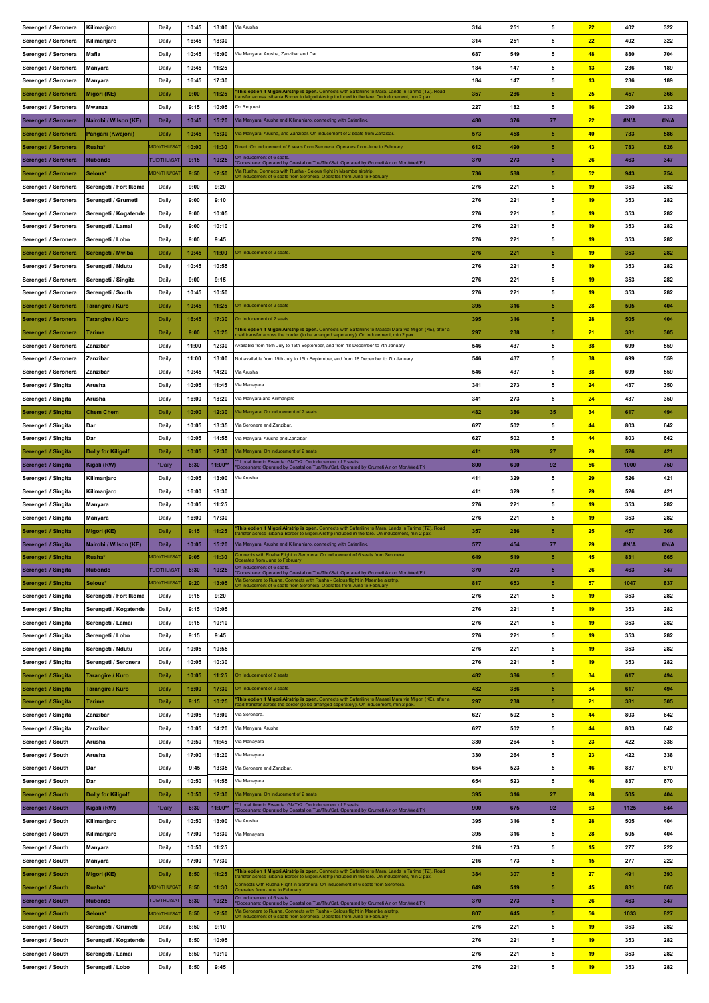| Serengeti / Seronera                     | Kilimanjaro               | Daily              | 10:45 | 13:00   | Via Arusha                                                                                                                                                                                                | 314 | 251 | 5              | 22              | 402  | 322  |
|------------------------------------------|---------------------------|--------------------|-------|---------|-----------------------------------------------------------------------------------------------------------------------------------------------------------------------------------------------------------|-----|-----|----------------|-----------------|------|------|
| Serengeti / Seronera                     | Kilimanjaro               | Daily              | 16:45 | 18:30   |                                                                                                                                                                                                           | 314 | 251 | 5              | 22              | 402  | 322  |
| Serengeti / Seronera                     | Mafia                     | Daily              | 10:45 | 16:00   | Via Manyara, Arusha, Zanzibar and Dar                                                                                                                                                                     | 687 | 549 | 5              | 48              | 880  | 704  |
| Serengeti / Seronera                     | Manyara                   | Daily              | 10:45 | 11:25   |                                                                                                                                                                                                           | 184 | 147 | 5              | 13              | 236  | 189  |
| Serengeti / Seronera                     | Manyara                   | Daily              | 16:45 | 17:30   |                                                                                                                                                                                                           | 184 | 147 | 5              | 13              | 236  | 189  |
| Serengeti / Seronera                     | Migori (KE)               | Daily              | 9:00  | 11:25   | This option if Migori Airstrip is open. Connects with Safarilink to Mara. Lands in Tarime (TZ). Road<br>ransfer across Isibania Border to Migori Airstrip included in the fare. On inducement, min 2 pax. | 357 | 286 | 5              | 25              | 457  | 366  |
| Serengeti / Seronera                     | Mwanza                    | Daily              | 9:15  | 10:05   | On Request                                                                                                                                                                                                | 227 | 182 | 5              | 16              | 290  | 232  |
| Serengeti / Seronera                     | Nairobi / Wilson (KE)     | Daily              | 10:45 | 15:20   | Via Manyara, Arusha and Kilimanjaro, connecting with Safarilink.                                                                                                                                          | 480 | 376 | 77             | 22              | #N/A | #N/A |
| Serengeti / Seronera                     | Pangani (Kwajoni)         | Daily              | 10:45 | 15:30   | /ia Manyara, Arusha, and Zanzibar. On inducement of 2 seats from Zanzibar.                                                                                                                                | 573 | 458 | 5              | 40              | 733  | 586  |
| Serengeti / Seronera                     | Ruaha*                    | <b>MON/THU/SA</b>  | 10:00 | 11:30   | Direct. On inducement of 6 seats from Seronera. Operates from June to February                                                                                                                            | 612 | 490 | 5              | 43              | 783  | 626  |
| Serengeti / Seronera                     | <b>Rubondo</b>            | <b>TUE/THU/SAT</b> | 9:15  | 10:25   | On inducement of 6 seats                                                                                                                                                                                  | 370 | 273 | 5              | 26              | 463  | 347  |
| Serengeti / Seronera                     | Selous*                   | <b>MON/THU/SA</b>  | 9:50  | 12:50   | Codeshare: Operated by Coastal on Tue/Thu/Sat. Operated by Grumeti Air on Mon/Wed/Fri<br>la Ruaha. Connects with Ruaha - Selous flight in Msembe airstrip                                                 | 736 | 588 | 5              | 52              | 943  | 754  |
| Serengeti / Seronera                     | Serengeti / Fort Ikoma    | Daily              | 9:00  | 9:20    | On inducement of 6 seats from Seronera. Operates from June to February                                                                                                                                    | 276 | 221 | 5              | 19              | 353  | 282  |
|                                          |                           |                    | 9:00  | 9:10    |                                                                                                                                                                                                           | 276 | 221 | 5              | 19              | 353  | 282  |
| Serengeti / Seronera                     | Serengeti / Grumeti       | Daily              | 9:00  | 10:05   |                                                                                                                                                                                                           | 276 | 221 | 5              | 19              | 353  | 282  |
| Serengeti / Seronera                     | Serengeti / Kogatende     | Daily              |       |         |                                                                                                                                                                                                           |     |     |                |                 |      |      |
| Serengeti / Seronera                     | Serengeti / Lamai         | Daily              | 9:00  | 10:10   |                                                                                                                                                                                                           | 276 | 221 | 5              | 19              | 353  | 282  |
| Serengeti / Seronera                     | Serengeti / Lobo          | Daily              | 9:00  | 9:45    |                                                                                                                                                                                                           | 276 | 221 | 5              | 19              | 353  | 282  |
| Serengeti / Seronera                     | Serengeti / Mwiba         | Daily              | 10:45 | 11:00   | On Inducement of 2 seats.                                                                                                                                                                                 | 276 | 221 | ${\bf 5}$      | 19              | 353  | 282  |
| Serengeti / Seronera                     | Serengeti / Ndutu         | Daily              | 10:45 | 10:55   |                                                                                                                                                                                                           | 276 | 221 | 5              | 19              | 353  | 282  |
| Serengeti / Seronera                     | Serengeti / Singita       | Daily              | 9:00  | 9:15    |                                                                                                                                                                                                           | 276 | 221 | 5              | 19              | 353  | 282  |
| Serengeti / Seronera                     | Serengeti / South         | Daily              | 10:45 | 10:50   |                                                                                                                                                                                                           | 276 | 221 | 5              | 19              | 353  | 282  |
| Serengeti / Seronera                     | <b>Tarangire / Kuro</b>   | Daily              | 10:45 | 11:25   | On Inducement of 2 seats                                                                                                                                                                                  | 395 | 316 | 5              | 28              | 505  | 404  |
| Serengeti / Seronera                     | Tarangire / Kuro          | Daily              | 16:45 | 17:30   | On Inducement of 2 seats                                                                                                                                                                                  | 395 | 316 | 5              | 28              | 505  | 404  |
| Serengeti / Seronera                     | Tarime                    | Daily              | 9:00  | 10:25   | This option if Migori Airstrip is open. Connects with Safarilink to Maasai Mara via Migori (KE), after a<br>road transfer across the border (to be arranged seperately). On inducement, min 2 pax         | 297 | 238 | 5              | 21              | 381  | 305  |
| Serengeti / Seronera                     | Zanzibar                  | Daily              | 11:00 | 12:30   | Available from 15th July to 15th September, and from 18 December to 7th January                                                                                                                           | 546 | 437 | 5              | 38              | 699  | 559  |
| Serengeti / Seronera                     | Zanzibar                  | Daily              | 11:00 | 13:00   | Not available from 15th July to 15th September, and from 18 December to 7th January                                                                                                                       | 546 | 437 | 5              | 38              | 699  | 559  |
| Serengeti / Seronera                     | Zanzibar                  | Daily              | 10:45 | 14:20   | Via Arusha                                                                                                                                                                                                | 546 | 437 | 5              | 38              | 699  | 559  |
| Serengeti / Singita                      | Arusha                    | Daily              | 10:05 | 11:45   | Via Manayara                                                                                                                                                                                              | 341 | 273 | 5              | 24              | 437  | 350  |
| Serengeti / Singita                      | Arusha                    | Daily              | 16:00 | 18:20   | Via Manyara and Kilimanjaro                                                                                                                                                                               | 341 | 273 | 5              | 24              | 437  | 350  |
| Serengeti / Singita                      | <b>Chem Chem</b>          | Daily              | 10:00 | 12:30   | Via Manyara. On inducement of 2 seats                                                                                                                                                                     | 482 | 386 | 35             | 34              | 617  | 494  |
| Serengeti / Singita                      | Dar                       | Daily              | 10:05 | 13:35   | Via Seronera and Zanzibar.                                                                                                                                                                                | 627 | 502 | 5              | 44              | 803  | 642  |
| Serengeti / Singita                      | Dar                       | Daily              | 10:05 | 14:55   | Via Manyara, Arusha and Zanzibar                                                                                                                                                                          | 627 | 502 | 5              | 44              | 803  | 642  |
| Serengeti / Singita                      | <b>Dolly for Kiligolf</b> | Daily              | 10:05 | 12:30   | Via Manyara. On inducement of 2 seats                                                                                                                                                                     | 411 | 329 | 27             | 29              | 526  | 421  |
| Serengeti / Singita                      | Kigali (RW)               | *Daily             | 8:30  | 11:00** | Local time in Rwanda: GMT+2. On inducement of 2 seats.<br>'Codeshare: Operated by Coastal on Tue/Thu/Sat. Operated by Grumeti Air on Mon/Wed/Fri                                                          | 800 | 600 | 92             | 56              | 1000 | 750  |
| Serengeti / Singita                      | Kilimanjaro               | Daily              | 10:05 | 13:00   | Via Arusha                                                                                                                                                                                                | 411 | 329 | 5              | 29              | 526  | 421  |
| Serengeti / Singita                      | Kilimanjaro               | Daily              | 16:00 | 18:30   |                                                                                                                                                                                                           | 411 | 329 | 5              | 29              | 526  | 421  |
| Serengeti / Singita                      | Manyara                   | Daily              | 10:05 | 11:25   |                                                                                                                                                                                                           | 276 | 221 | 5              | 19              | 353  | 282  |
| Serengeti / Singita                      | Manyara                   | Daily              | 16:00 | 17:30   |                                                                                                                                                                                                           | 276 | 221 | 5              | 19              | 353  | 282  |
| Serengeti / Singita                      | Migori (KE)               | Daily              | 9:15  | 11:25   | This option if Migori Airstrip is open. Connects with Safarilink to Mara. Lands in Tarime (TZ). Road                                                                                                      | 357 | 286 | 5              | 25              | 457  | 366  |
| Serengeti / Singita                      | Nairobi / Wilson (KE)     | Daily              | 10:05 | 15:20   | inia Border to Migori Airstrip included in the fare. On inducement, min 2 pax<br>Via Manyara, Arusha and Kilimanjaro, connecting with Safarilink.                                                         | 577 | 454 | 77             | 29              | #N/A | #N/A |
| Serengeti / Singita                      | Ruaha*                    | 10N/THU/SA         | 9:05  | 11:30   |                                                                                                                                                                                                           | 649 | 519 | 5              | 45 <sub>2</sub> | 831  | 665  |
| Serengeti / Singita                      | <b>Rubondo</b>            | <b>TUE/THU/SAT</b> | 8:30  | 10:25   | Operates from June to February<br>On inducement of 6 seats.                                                                                                                                               | 370 | 273 | $\overline{5}$ | 26              | 463  | 347  |
| Serengeti / Singita                      | Selous*                   | <b>MON/THU/SA</b>  | 9:20  | 13:05   | 'Codeshare: Operated by Coastal on Tue/Thu/Sat. Operated by Grumeti Air on Mon/Wed/Fri<br>/ia Seronera to Ruaha. Connects with Ruaha - Selous flight in Msembe airstrip                                   | 817 | 653 | 5              | 57              | 1047 | 837  |
| Serengeti / Singita                      | Serengeti / Fort Ikoma    | Daily              | 9:15  | 9:20    | In inducement of 6 seats from Seronera. Operates from June to February                                                                                                                                    | 276 | 221 | 5              | 19              | 353  | 282  |
| Serengeti / Singita                      | Serengeti / Kogatende     | Daily              | 9:15  | 10:05   |                                                                                                                                                                                                           | 276 | 221 | 5              | 19              | 353  | 282  |
| Serengeti / Singita                      | Serengeti / Lamai         | Daily              | 9:15  | 10:10   |                                                                                                                                                                                                           | 276 | 221 | 5              | 19              | 353  | 282  |
| Serengeti / Singita                      | Serengeti / Lobo          | Daily              | 9:15  | 9:45    |                                                                                                                                                                                                           | 276 | 221 | 5              | 19              | 353  | 282  |
| Serengeti / Singita                      | Serengeti / Ndutu         | Daily              | 10:05 | 10:55   |                                                                                                                                                                                                           | 276 | 221 | 5              | 19              | 353  | 282  |
| Serengeti / Singita                      | Serengeti / Seronera      | Daily              | 10:05 | 10:30   |                                                                                                                                                                                                           | 276 | 221 | 5              | 19              | 353  | 282  |
| Serengeti / Singita                      | <b>Tarangire / Kuro</b>   | Daily              | 10:05 | 11:25   | On Inducement of 2 seats                                                                                                                                                                                  | 482 | 386 | 5              | 34              | 617  | 494  |
| Serengeti / Singita                      | Tarangire / Kuro          | Daily              | 16:00 | 17:30   | On Inducement of 2 seats                                                                                                                                                                                  | 482 | 386 | 5              | 34              | 617  | 494  |
| Serengeti / Singita                      | Tarime                    | Daily              | 9:15  | 10:25   | This option if Migori Airstrip is open. Connects with Safarilink to Maasai Mara via Migori (KE), after a                                                                                                  | 297 | 238 | 5              | 21              | 381  | 305  |
| Serengeti / Singita                      | Zanzibar                  | Daily              | 10:05 | 13:00   | oad transfer across the border (to be arranged seperately). On inducement, min 2 pax.<br>Via Seronera.                                                                                                    | 627 | 502 | 5              | 44              | 803  | 642  |
|                                          | Zanzibar                  |                    | 10:05 | 14:20   | Via Manyara, Arusha                                                                                                                                                                                       | 627 | 502 | 5              | 44              | 803  | 642  |
| Serengeti / Singita<br>Serengeti / South |                           | Daily<br>Daily     | 10:50 | 11:45   | Via Manayara                                                                                                                                                                                              | 330 | 264 | 5              | 23              | 422  | 338  |
|                                          | Arusha                    |                    |       |         |                                                                                                                                                                                                           | 330 | 264 | 5              |                 |      | 338  |
| Serengeti / South                        | Arusha                    | Daily              | 17:00 | 18:20   | Via Manayara                                                                                                                                                                                              |     |     |                | 23              | 422  |      |
| Serengeti / South                        | Dar                       | Daily              | 9:45  | 13:35   | Via Seronera and Zanzibar.                                                                                                                                                                                | 654 | 523 | 5              | 46              | 837  | 670  |
| Serengeti / South                        | Dar                       | Daily              | 10:50 | 14:55   | Via Manayara                                                                                                                                                                                              | 654 | 523 | 5              | 46              | 837  | 670  |
| Serengeti / South                        | <b>Dolly for Kiligolf</b> | Daily              | 10:50 | 12:30   | Via Manyara. On inducement of 2 seats<br>Local time in Rwanda: GMT+2. On inducement of 2 seats.                                                                                                           | 395 | 316 | 27             | 28              | 505  | 404  |
| Serengeti / South                        | Kigali (RW)               | *Daily             | 8:30  | 11:00** | 'Codeshare: Operated by Coastal on Tue/Thu/Sat. Operated by Grumeti Air on Mon/Wed/Fri                                                                                                                    | 900 | 675 | 92             | 63              | 1125 | 844  |
| Serengeti / South                        | Kilimanjaro               | Daily              | 10:50 | 13:00   | Via Arusha                                                                                                                                                                                                | 395 | 316 | 5              | 28              | 505  | 404  |
| Serengeti / South                        | Kilimanjaro               | Daily              | 17:00 | 18:30   | Via Manayara                                                                                                                                                                                              | 395 | 316 | 5              | 28              | 505  | 404  |
| Serengeti / South                        | Manyara                   | Daily              | 10:50 | 11:25   |                                                                                                                                                                                                           | 216 | 173 | 5              | 15              | 277  | 222  |
| Serengeti / South                        | Manyara                   | Daily              | 17:00 | 17:30   |                                                                                                                                                                                                           | 216 | 173 | 5              | 15              | 277  | 222  |
| Serengeti / South                        | Migori (KE)               | Daily              | 8:50  | 11:25   | This option if Migori Airstrip is open. Connects with Safarilink to Mara. Lands in Tarime (TZ). Road<br>ansfer across Isibania Border to Migori Airstrip included in the fare. On inducement, min 2 pax   | 384 | 307 | 5              | 27              | 491  | 393  |
| Serengeti / South                        | Ruaha*                    | <b>MON/THU/SA</b>  | 8:50  | 11:30   | fonnects with Ruaha Flight in Seronera. On inducement of 6 seats from Seronera.<br>perates from June to February                                                                                          | 649 | 519 | 5              | 45              | 831  | 665  |
| Serengeti / South                        | <b>Rubondo</b>            | <b>TUE/THU/SAT</b> | 8:30  | 10:25   | On inducement of 6 seats.<br>Codeshare: Operated by Coastal on Tue/Thu/Sat. Operated by Grumeti Air on Mon/Wed/Fri                                                                                        | 370 | 273 | $\sqrt{5}$     | 26              | 463  | 347  |
| Serengeti / South                        | Selous*                   | <b>MON/THU/SA</b>  | 8:50  | 12:50   | /ia Seronera to Ruaha. Connects with Ruaha - Selous flight in Msembe airstrip.<br>On inducement of 6 seats from Seronera. Operates from June to February                                                  | 807 | 645 | 5              | 56              | 1033 | 827  |
| Serengeti / South                        | Serengeti / Grumeti       | Daily              | 8:50  | 9:10    |                                                                                                                                                                                                           | 276 | 221 | 5              | 19              | 353  | 282  |
| Serengeti / South                        | Serengeti / Kogatende     | Daily              | 8:50  | 10:05   |                                                                                                                                                                                                           | 276 | 221 | 5              | 19              | 353  | 282  |
| Serengeti / South                        | Serengeti / Lamai         | Daily              | 8:50  | 10:10   |                                                                                                                                                                                                           | 276 | 221 | 5              | 19              | 353  | 282  |
| Serengeti / South                        | Serengeti / Lobo          | Daily              | 8:50  | 9:45    |                                                                                                                                                                                                           | 276 | 221 | 5              | 19              | 353  | 282  |